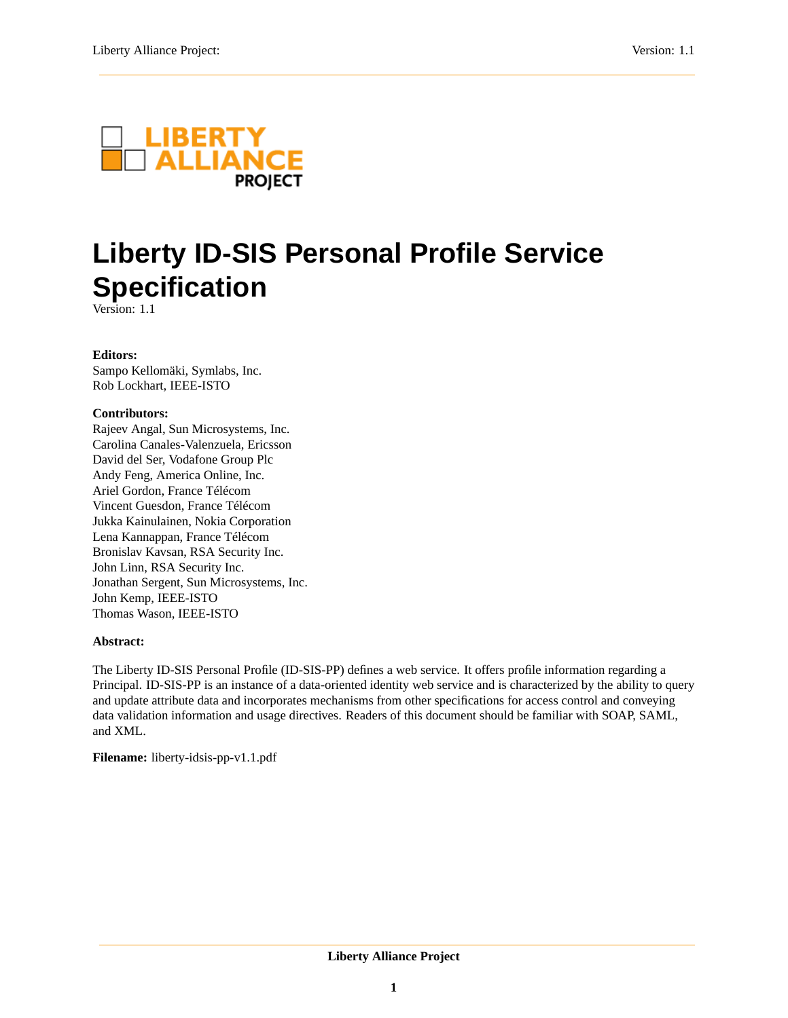

# **Liberty ID-SIS Personal Profile Service Specification**

Version: 1.1

#### **Editors:**

Sampo Kellomäki, Symlabs, Inc. Rob Lockhart, IEEE-ISTO

### **Contributors:**

Rajeev Angal, Sun Microsystems, Inc. Carolina Canales-Valenzuela, Ericsson David del Ser, Vodafone Group Plc Andy Feng, America Online, Inc. Ariel Gordon, France Télécom Vincent Guesdon, France Télécom Jukka Kainulainen, Nokia Corporation Lena Kannappan, France Télécom Bronislav Kavsan, RSA Security Inc. John Linn, RSA Security Inc. Jonathan Sergent, Sun Microsystems, Inc. John Kemp, IEEE-ISTO Thomas Wason, IEEE-ISTO

#### **Abstract:**

The Liberty ID-SIS Personal Profile (ID-SIS-PP) defines a web service. It offers profile information regarding a Principal. ID-SIS-PP is an instance of a data-oriented identity web service and is characterized by the ability to query and update attribute data and incorporates mechanisms from other specifications for access control and conveying data validation information and usage directives. Readers of this document should be familiar with SOAP, SAML, and XML.

**Filename:** liberty-idsis-pp-v1.1.pdf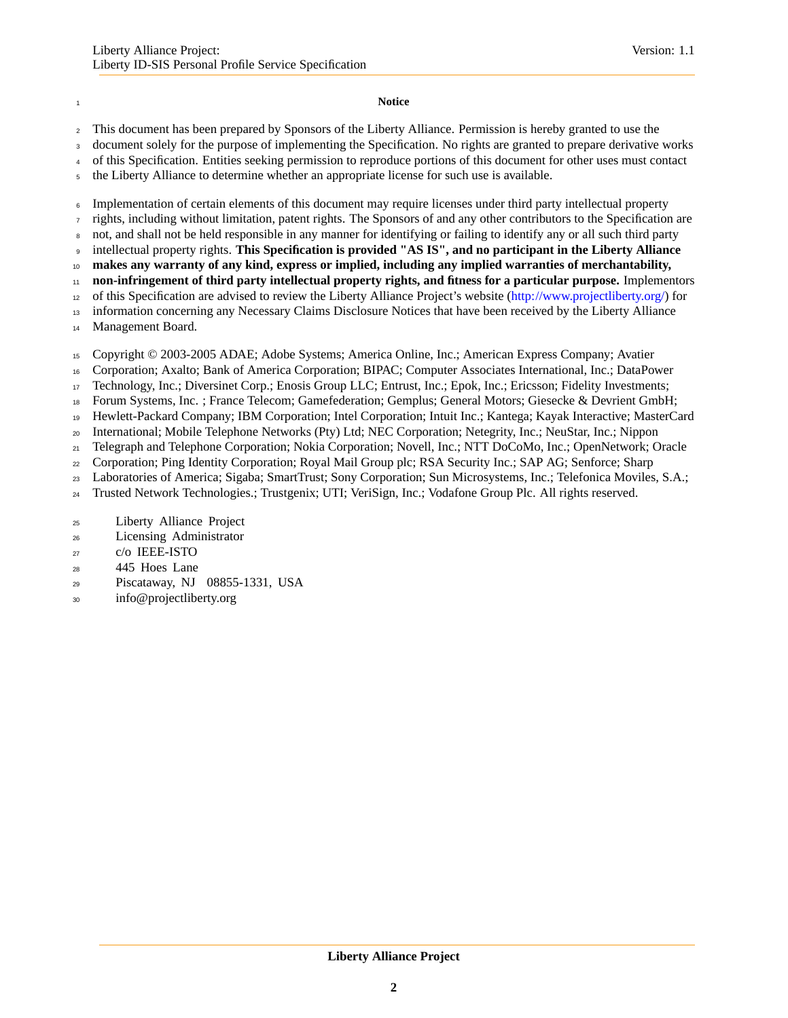#### **Notice**

This document has been prepared by Sponsors of the Liberty Alliance. Permission is hereby granted to use the

3 document solely for the purpose of implementing the Specification. No rights are granted to prepare derivative works

of this Specification. Entities seeking permission to reproduce portions of this document for other uses must contact

the Liberty Alliance to determine whether an appropriate license for such use is available.

Implementation of certain elements of this document may require licenses under third party intellectual property

rights, including without limitation, patent rights. The Sponsors of and any other contributors to the Specification are

not, and shall not be held responsible in any manner for identifying or failing to identify any or all such third party

intellectual property rights. **This Specification is provided "AS IS", and no participant in the Liberty Alliance**

**makes any warranty of any kind, express or implied, including any implied warranties of merchantability,**

**non-infringement of third party intellectual property rights, and fitness for a particular purpose.** Implementors

of this Specification are advised to review the Liberty Alliance Project's website [\(http://www.projectliberty.org/\)](http://www.projectliberty.org/) for

 information concerning any Necessary Claims Disclosure Notices that have been received by the Liberty Alliance Management Board.

Copyright © 2003-2005 ADAE; Adobe Systems; America Online, Inc.; American Express Company; Avatier

Corporation; Axalto; Bank of America Corporation; BIPAC; Computer Associates International, Inc.; DataPower

Technology, Inc.; Diversinet Corp.; Enosis Group LLC; Entrust, Inc.; Epok, Inc.; Ericsson; Fidelity Investments;

Forum Systems, Inc. ; France Telecom; Gamefederation; Gemplus; General Motors; Giesecke & Devrient GmbH;

Hewlett-Packard Company; IBM Corporation; Intel Corporation; Intuit Inc.; Kantega; Kayak Interactive; MasterCard

International; Mobile Telephone Networks (Pty) Ltd; NEC Corporation; Netegrity, Inc.; NeuStar, Inc.; Nippon

Telegraph and Telephone Corporation; Nokia Corporation; Novell, Inc.; NTT DoCoMo, Inc.; OpenNetwork; Oracle

Corporation; Ping Identity Corporation; Royal Mail Group plc; RSA Security Inc.; SAP AG; Senforce; Sharp

Laboratories of America; Sigaba; SmartTrust; Sony Corporation; Sun Microsystems, Inc.; Telefonica Moviles, S.A.;

Trusted Network Technologies.; Trustgenix; UTI; VeriSign, Inc.; Vodafone Group Plc. All rights reserved.

- Licensing Administrator
- c/o IEEE-ISTO
- 445 Hoes Lane
- Piscataway, NJ 08855-1331, USA
- info@projectliberty.org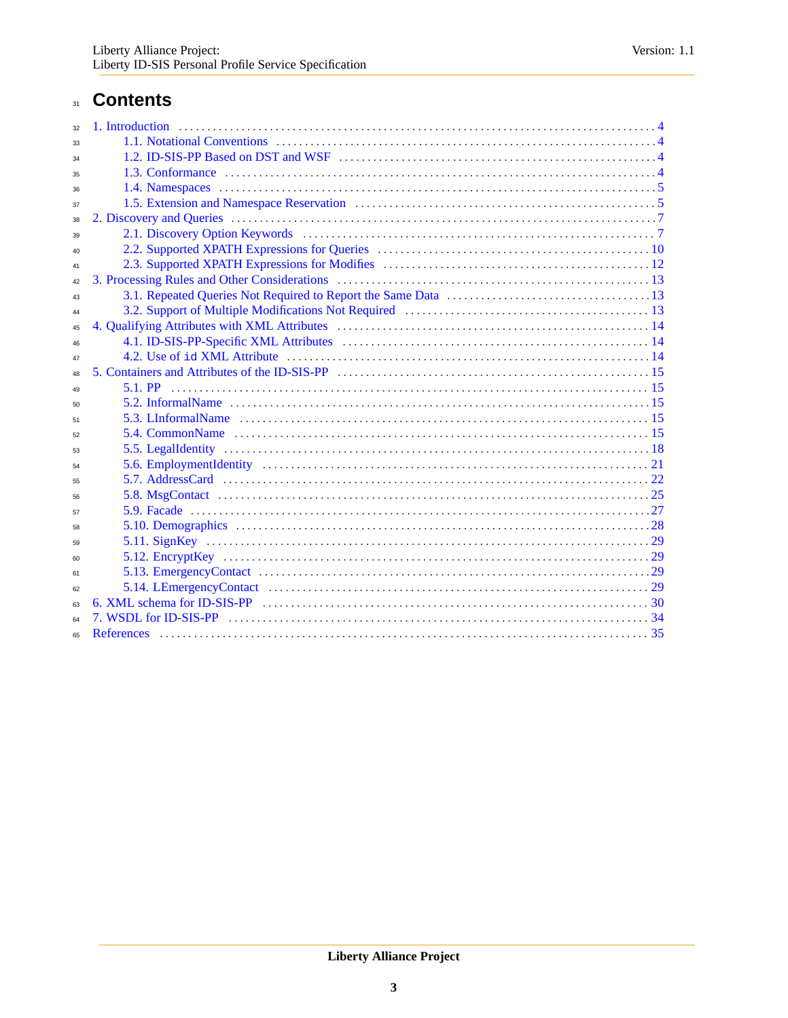## 31 Contents

| 32 |  |
|----|--|
| 33 |  |
| 34 |  |
| 35 |  |
| 36 |  |
| 37 |  |
| 38 |  |
| 39 |  |
| 40 |  |
| 41 |  |
| 42 |  |
| 43 |  |
| 44 |  |
| 45 |  |
| 46 |  |
| 47 |  |
| 48 |  |
| 49 |  |
| 50 |  |
| 51 |  |
| 52 |  |
| 53 |  |
| 54 |  |
| 55 |  |
| 56 |  |
| 57 |  |
| 58 |  |
| 59 |  |
| 60 |  |
| 61 |  |
| 62 |  |
| 63 |  |
| 64 |  |
| 65 |  |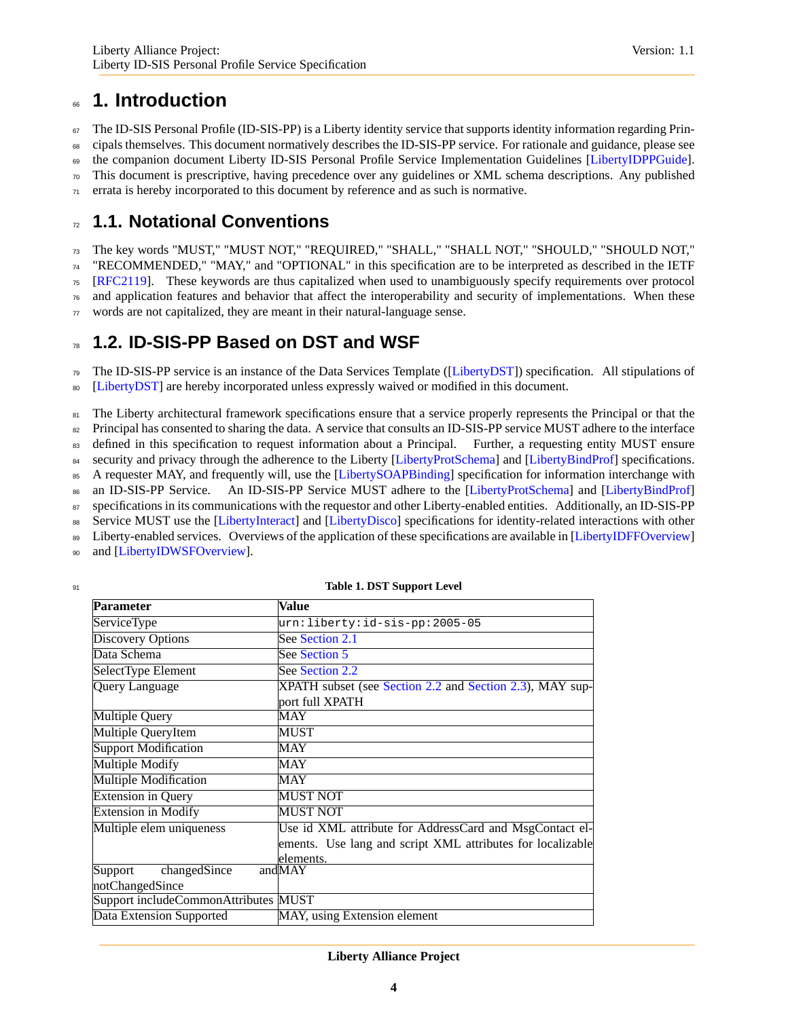## <span id="page-3-0"></span><sup>66</sup> **1. Introduction**

 $67$  The ID-SIS Personal Profile (ID-SIS-PP) is a Liberty identity service that supports identity information regarding Prin-<sup>68</sup> cipals themselves. This document normatively describes the ID-SIS-PP service. For rationale and guidance, please see <sup>69</sup> the companion document Liberty ID-SIS Personal Profile Service Implementation Guidelines [\[LibertyIDPPGuide\]](#page-35-0).

<sup>70</sup> This document is prescriptive, having precedence over any guidelines or XML schema descriptions. Any published

<span id="page-3-1"></span> $71$  errata is hereby incorporated to this document by reference and as such is normative.

## <sup>72</sup> **1.1. Notational Conventions**

 The key words "MUST," "MUST NOT," "REQUIRED," "SHALL," "SHALL NOT," "SHOULD," "SHOULD NOT," "RECOMMENDED," "MAY," and "OPTIONAL" in this specification are to be interpreted as described in the IETF [\[RFC2119\]](#page-34-1). These keywords are thus capitalized when used to unambiguously specify requirements over protocol and application features and behavior that affect the interoperability and security of implementations. When these

<span id="page-3-2"></span><sup>77</sup> words are not capitalized, they are meant in their natural-language sense.

## <sup>78</sup> **1.2. ID-SIS-PP Based on DST and WSF**

<sup>79</sup> The ID-SIS-PP service is an instance of the Data Services Template ([\[LibertyDST\]](#page-34-2)) specification. All stipulations of <sup>80</sup> [\[LibertyDST\]](#page-34-2) are hereby incorporated unless expressly waived or modified in this document.

<sup>81</sup> The Liberty architectural framework specifications ensure that a service properly represents the Principal or that the <sup>82</sup> Principal has consented to sharing the data. A service that consults an ID-SIS-PP service MUST adhere to the interface 83 defined in this specification to request information about a Principal. Further, a requesting entity MUST ensure 84 security and privacy through the adherence to the Liberty [\[LibertyProtSchema\]](#page-34-3) and [\[LibertyBindProf\]](#page-34-4) specifications. 85 A requester MAY, and frequently will, use the [\[LibertySOAPBinding\]](#page-34-5) specification for information interchange with 86 an ID-SIS-PP Service. An ID-SIS-PP Service MUST adhere to the [\[LibertyProtSchema\]](#page-34-3) and [\[LibertyBindProf\]](#page-34-4) <sup>87</sup> specifications in its communications with the requestor and other Liberty-enabled entities. Additionally, an ID-SIS-PP 88 Service MUST use the [\[LibertyInteract\]](#page-34-6) and [\[LibertyDisco\]](#page-34-7) specifications for identity-related interactions with other 89 Liberty-enabled services. Overviews of the application of these specifications are available in [\[LibertyIDFFOverview\]](#page-35-1)

90 and [\[LibertyIDWSFOverview\]](#page-35-2).

| <b>Table 1. DST Support Level</b> |
|-----------------------------------|
|                                   |

| <b>Parameter</b>                     | Value                                                                       |
|--------------------------------------|-----------------------------------------------------------------------------|
| <b>ServiceType</b>                   | urn:liberty:id-sis-pp:2005-05                                               |
| <b>Discovery Options</b>             | See Section 2.1                                                             |
| Data Schema                          | See Section 5                                                               |
| SelectType Element                   | See Section 2.2                                                             |
| <b>Query Language</b>                | XPATH subset (see Section 2.2 and Section 2.3), MAY sup-<br>port full XPATH |
| <b>Multiple Query</b>                | MAY                                                                         |
| Multiple QueryItem                   | <b>MUST</b>                                                                 |
| <b>Support Modification</b>          | <b>MAY</b>                                                                  |
| <b>Multiple Modify</b>               | MAY                                                                         |
| <b>Multiple Modification</b>         | MAY                                                                         |
| <b>Extension in Query</b>            | <b>MUST NOT</b>                                                             |
| <b>Extension in Modify</b>           | <b>MUST NOT</b>                                                             |
| Multiple elem uniqueness             | Use id XML attribute for AddressCard and MsgContact el-                     |
|                                      | ements. Use lang and script XML attributes for localizable                  |
|                                      | elements.                                                                   |
| changedSince<br>Support              | andMAY                                                                      |
| notChangedSince                      |                                                                             |
| Support includeCommonAttributes MUST |                                                                             |
| Data Extension Supported             | MAY, using Extension element                                                |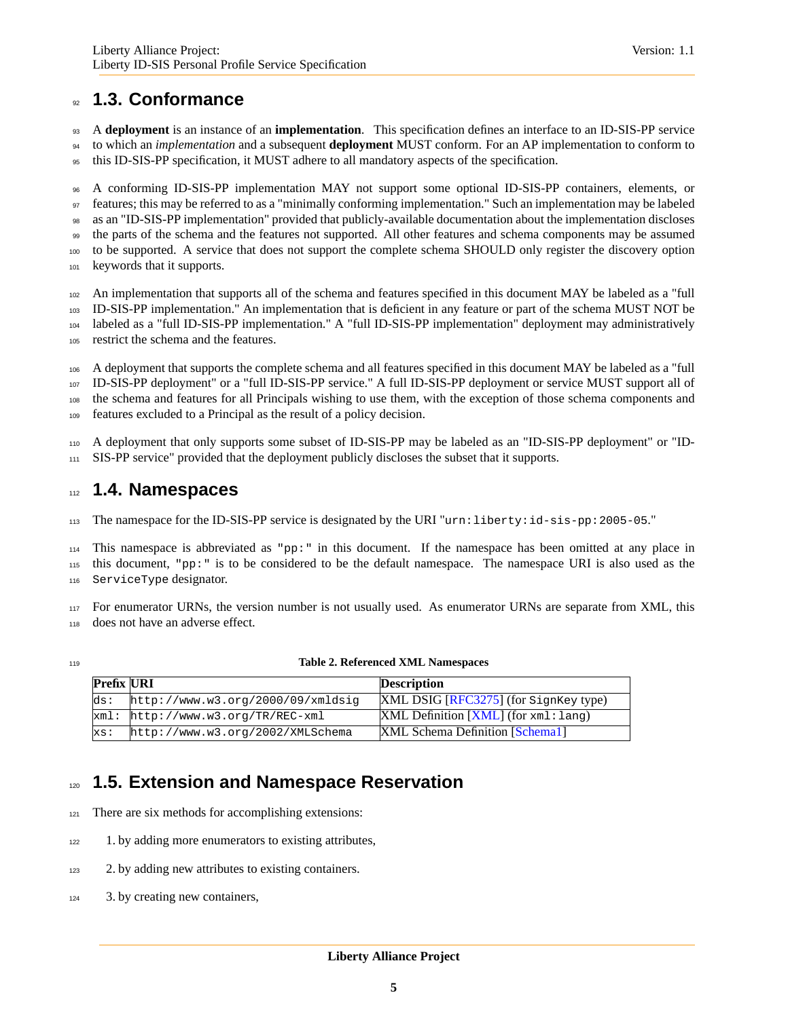## <span id="page-4-0"></span>**1.3. Conformance**

 A **deployment** is an instance of an **implementation**. This specification defines an interface to an ID-SIS-PP service to which an *implementation* and a subsequent **deployment** MUST conform. For an AP implementation to conform to this ID-SIS-PP specification, it MUST adhere to all mandatory aspects of the specification.

 A conforming ID-SIS-PP implementation MAY not support some optional ID-SIS-PP containers, elements, or features; this may be referred to as a "minimally conforming implementation." Such an implementation may be labeled as an "ID-SIS-PP implementation" provided that publicly-available documentation about the implementation discloses the parts of the schema and the features not supported. All other features and schema components may be assumed to be supported. A service that does not support the complete schema SHOULD only register the discovery option keywords that it supports.

 An implementation that supports all of the schema and features specified in this document MAY be labeled as a "full ID-SIS-PP implementation." An implementation that is deficient in any feature or part of the schema MUST NOT be

 labeled as a "full ID-SIS-PP implementation." A "full ID-SIS-PP implementation" deployment may administratively restrict the schema and the features.

 A deployment that supports the complete schema and all features specified in this document MAY be labeled as a "full ID-SIS-PP deployment" or a "full ID-SIS-PP service." A full ID-SIS-PP deployment or service MUST support all of the schema and features for all Principals wishing to use them, with the exception of those schema components and features excluded to a Principal as the result of a policy decision.

 A deployment that only supports some subset of ID-SIS-PP may be labeled as an "ID-SIS-PP deployment" or "ID-SIS-PP service" provided that the deployment publicly discloses the subset that it supports.

## <span id="page-4-1"></span>**1.4. Namespaces**

The namespace for the ID-SIS-PP service is designated by the URI "urn:liberty:id-sis-pp:2005-05."

 This namespace is abbreviated as "pp:" in this document. If the namespace has been omitted at any place in this document, "pp:" is to be considered to be the default namespace. The namespace URI is also used as the ServiceType designator.

 For enumerator URNs, the version number is not usually used. As enumerator URNs are separate from XML, this does not have an adverse effect.

#### **Table 2. Referenced XML Namespaces**

| <b>Prefix URI</b> |                                     | <b>Description</b>                                        |
|-------------------|-------------------------------------|-----------------------------------------------------------|
| ds:               | http://www.w3.org/2000/09/xmldsiq   | $\overline{\text{XML DSIG [RFC3275]}}$ (for SignKey type) |
|                   | $xml: http://www.w3.org/TR/REC-xml$ | $XML$ Definition $[XML]$ (for $xml$ : lang)               |
| xs:               | http://www.w3.org/2002/XMLSchema    | XML Schema Definition [Schema1]                           |

## <span id="page-4-2"></span>**1.5. Extension and Namespace Reservation**

- There are six methods for accomplishing extensions:
- 1. by adding more enumerators to existing attributes,
- 2. by adding new attributes to existing containers.
- 3. by creating new containers,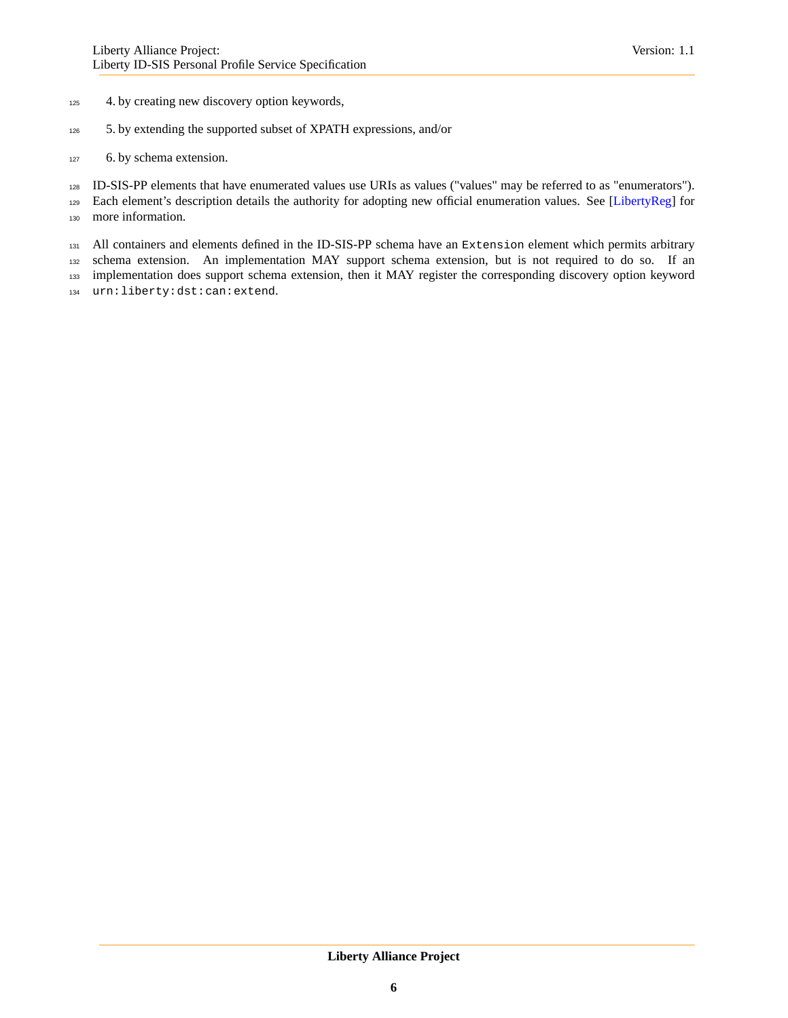#### 4. by creating new discovery option keywords,

- 5. by extending the supported subset of XPATH expressions, and/or
- 6. by schema extension.

ID-SIS-PP elements that have enumerated values use URIs as values ("values" may be referred to as "enumerators").

129 Each element's description details the authority for adopting new official enumeration values. See [\[LibertyReg\]](#page-34-11) for more information.

131 All containers and elements defined in the ID-SIS-PP schema have an Extension element which permits arbitrary schema extension. An implementation MAY support schema extension, but is not required to do so. If an implementation does support schema extension, then it MAY register the corresponding discovery option keyword

urn:liberty:dst:can:extend.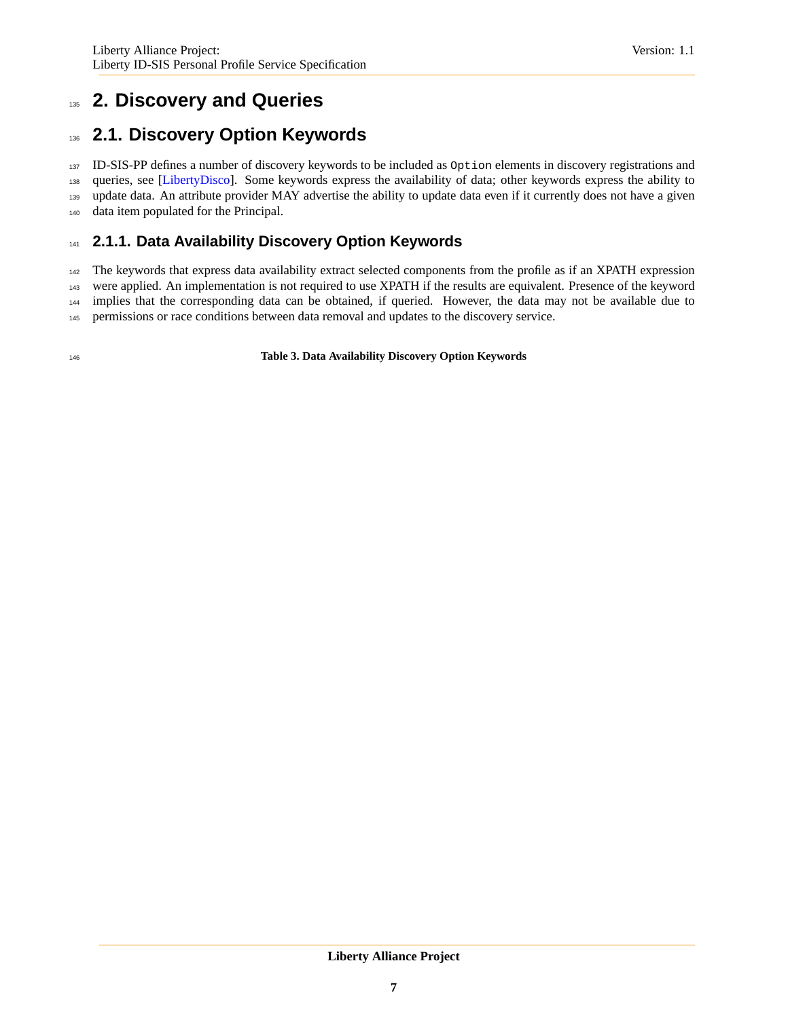## <span id="page-6-0"></span>**2. Discovery and Queries**

## <span id="page-6-1"></span>**2.1. Discovery Option Keywords**

 ID-SIS-PP defines a number of discovery keywords to be included as Option elements in discovery registrations and queries, see [\[LibertyDisco\]](#page-34-7). Some keywords express the availability of data; other keywords express the ability to 139 update data. An attribute provider MAY advertise the ability to update data even if it currently does not have a given data item populated for the Principal.

## **2.1.1. Data Availability Discovery Option Keywords**

 The keywords that express data availability extract selected components from the profile as if an XPATH expression were applied. An implementation is not required to use XPATH if the results are equivalent. Presence of the keyword implies that the corresponding data can be obtained, if queried. However, the data may not be available due to permissions or race conditions between data removal and updates to the discovery service.

**Table 3. Data Availability Discovery Option Keywords**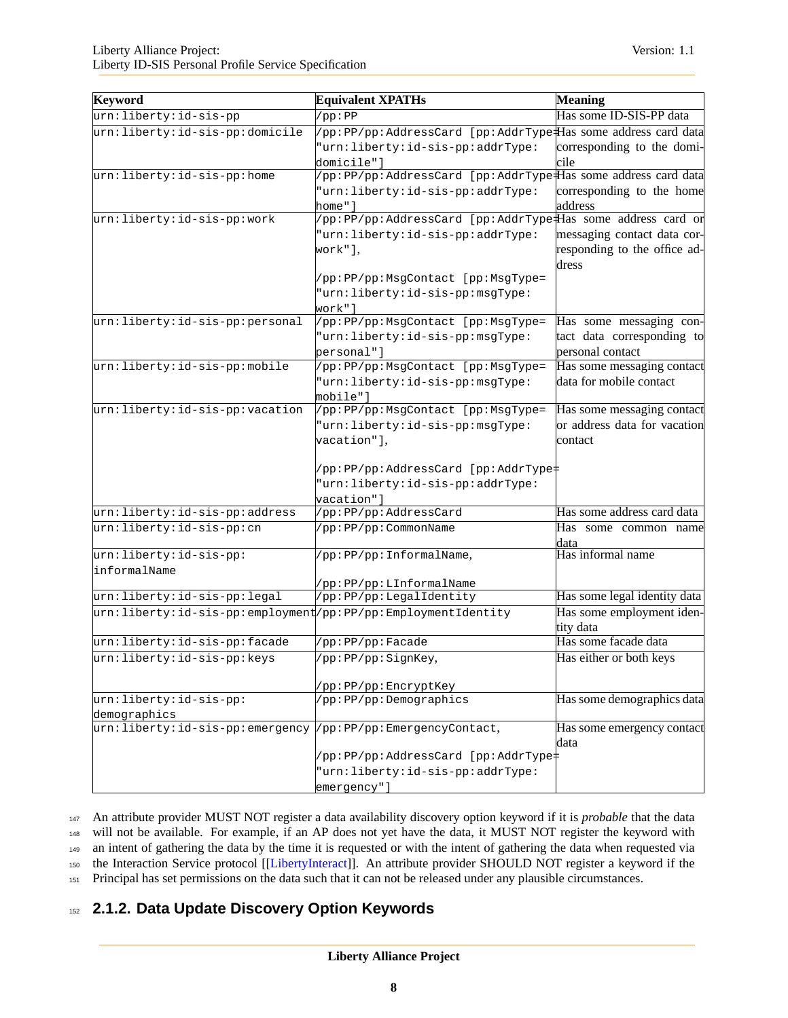| Keyword                                                      | <b>Equivalent XPATHs</b>                                      | <b>Meaning</b>                    |
|--------------------------------------------------------------|---------------------------------------------------------------|-----------------------------------|
| urn:liberty:id-sis-pp                                        | (pp:PP                                                        | Has some ID-SIS-PP data           |
| urn: liberty: id-sis-pp: domicile                            | /pp:PP/pp:AddressCard [pp:AddrType Has some address card data |                                   |
|                                                              | "urn:liberty:id-sis-pp:addrType:                              | corresponding to the domi-        |
|                                                              | domicile"]                                                    | cile                              |
| urn:liberty:id-sis-pp:home                                   | /pp:PP/pp:AddressCard [pp:AddrType#Ias some address card data |                                   |
|                                                              | "urn:liberty:id-sis-pp:addrType:                              | corresponding to the home         |
|                                                              | home"]                                                        | address                           |
| urn:liberty:id-sis-pp:work                                   | /pp:PP/pp:AddressCard [pp:AddrType#Has some address card or   |                                   |
|                                                              | "urn:liberty:id-sis-pp:addrType:                              | messaging contact data cor-       |
|                                                              | work"].                                                       | responding to the office ad-      |
|                                                              |                                                               | dress                             |
|                                                              | /pp:PP/pp:MsgContact [pp:MsgType=                             |                                   |
|                                                              | "urn:liberty:id-sis-pp:msgType:                               |                                   |
|                                                              | work"]                                                        |                                   |
| urn:liberty:id-sis-pp:personal                               | /pp:PP/pp:MsgContact [pp:MsgType=                             | Has some messaging con-           |
|                                                              | "urn:liberty:id-sis-pp:msgType:                               | tact data corresponding to        |
|                                                              | personal"                                                     | personal contact                  |
| urn:liberty:id-sis-pp:mobile                                 | /pp:PP/pp:MsgContact [pp:MsgType=                             | Has some messaging contact        |
|                                                              | "urn:liberty:id-sis-pp:msgType:                               | data for mobile contact           |
|                                                              | mobile"]                                                      |                                   |
| urn:liberty:id-sis-pp:vacation                               | /pp:PP/pp:MsgContact [pp:MsgType=                             | Has some messaging contact        |
|                                                              | "urn:liberty:id-sis-pp:msgType:                               | or address data for vacation      |
|                                                              | vacation"],                                                   | contact                           |
|                                                              |                                                               |                                   |
|                                                              | /pp:PP/pp:AddressCard [pp:AddrType=                           |                                   |
|                                                              | "urn:liberty:id-sis-pp:addrType:                              |                                   |
|                                                              | vacation"]                                                    |                                   |
| urn:liberty:id-sis-pp:address                                | /pp:PP/pp:AddressCard                                         | Has some address card data        |
| urn:liberty: id-sis-pp: cn                                   | /pp:PP/pp:CommonName                                          | Has some common name              |
|                                                              |                                                               | data                              |
| urn:liberty:id-sis-pp:                                       | /pp:PP/pp:InformalName,                                       | Has informal name                 |
| linformalName                                                |                                                               |                                   |
| urn:liberty:id-sis-pp:legal                                  | /pp:PP/pp:LInformalName<br>/pp:PP/pp:LegalIdentity            | Has some legal identity data      |
|                                                              |                                                               |                                   |
| urn:liberty:id-sis-pp:employment/pp:PP/pp:EmploymentIdentity |                                                               | Has some employment iden-         |
|                                                              |                                                               | tity data<br>Has some facade data |
| urn: liberty: id-sis-pp: facade                              | /pp:PP/pp:Facade                                              |                                   |
| urn:liberty:id-sis-pp:keys                                   | /pp:PP/pp:SignKey,                                            | Has either or both keys           |
|                                                              |                                                               |                                   |
| urn:liberty:id-sis-pp:                                       | /pp:PP/pp:EncryptKey<br>/pp:PP/pp:Demographics                | Has some demographics data        |
|                                                              |                                                               |                                   |
| demographics<br>urn:liberty:id-sis-pp:emergency              | /pp:PP/pp:EmergencyContact,                                   | Has some emergency contact        |
|                                                              |                                                               | data                              |
|                                                              | /pp:PP/pp:AddressCard [pp:AddrType=                           |                                   |
|                                                              | "urn:liberty:id-sis-pp:addrType:                              |                                   |
|                                                              | emergency"]                                                   |                                   |
|                                                              |                                                               |                                   |

 An attribute provider MUST NOT register a data availability discovery option keyword if it is *probable* that the data will not be available. For example, if an AP does not yet have the data, it MUST NOT register the keyword with an intent of gathering the data by the time it is requested or with the intent of gathering the data when requested via the Interaction Service protocol [[\[LibertyInteract\]](#page-34-6)]. An attribute provider SHOULD NOT register a keyword if the

<sup>151</sup> Principal has set permissions on the data such that it can not be released under any plausible circumstances.

## <sup>152</sup> **2.1.2. Data Update Discovery Option Keywords**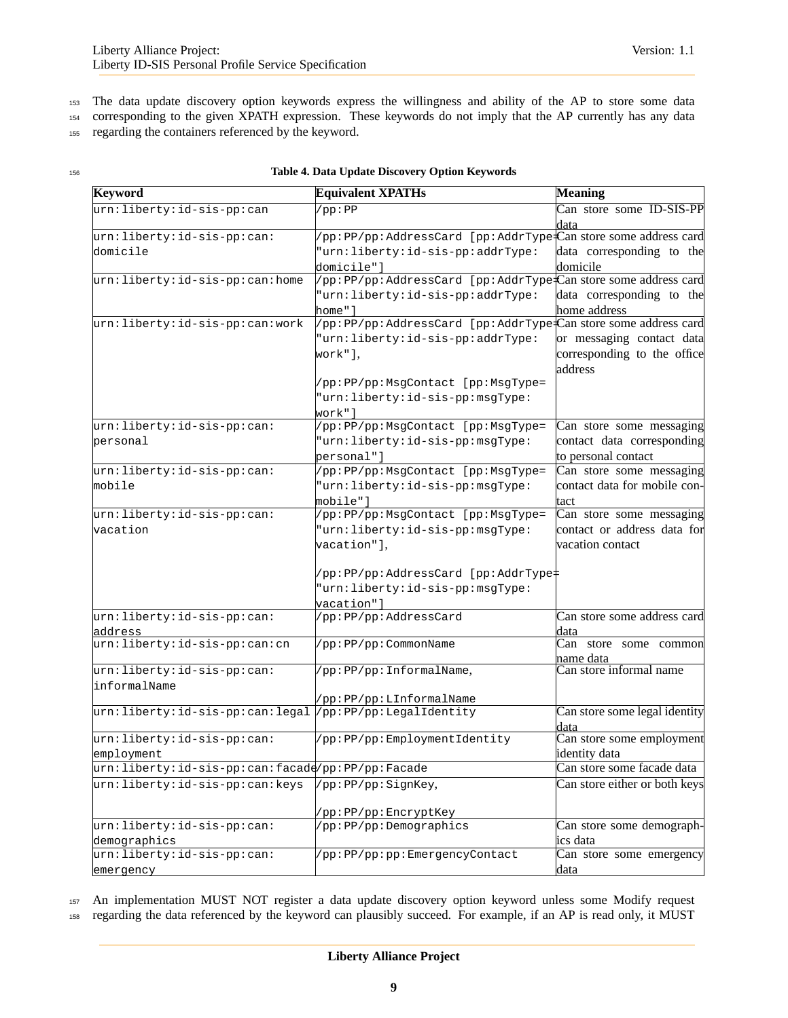<sup>153</sup> The data update discovery option keywords express the willingness and ability of the AP to store some data

<sup>154</sup> corresponding to the given XPATH expression. These keywords do not imply that the AP currently has any data

<sup>155</sup> regarding the containers referenced by the keyword.

| Keyword                                          | <b>Equivalent XPATHs</b>                                                             | <b>Meaning</b>                                                      |
|--------------------------------------------------|--------------------------------------------------------------------------------------|---------------------------------------------------------------------|
| urn:liberty:id-sis-pp:can                        | (pp:PP                                                                               | Can store some ID-SIS-PP<br>data                                    |
| urn:liberty:id-sis-pp:can:                       | /pp:PP/pp:AddressCard [pp:AddrType <sup>1</sup> Can store some address card          |                                                                     |
| domicile                                         | "urn:liberty:id-sis-pp:addrType:<br>domicile"]                                       | data corresponding to the<br>domicile                               |
| urn:liberty:id-sis-pp:can:home                   | /pp:PP/pp:AddressCard [pp:AddrType <sup>1</sup> Can store some address card          |                                                                     |
|                                                  | "urn:liberty:id-sis-pp:addrType:<br>home"]                                           | data corresponding to the<br>home address                           |
| urn:liberty:id-sis-pp:can:work                   | /pp:PP/pp:AddressCard [pp:AddrType <sup>1</sup> Can store some address card          |                                                                     |
|                                                  | "urn:liberty:id-sis-pp:addrType:<br>work"],                                          | or messaging contact data<br>corresponding to the office<br>address |
|                                                  | /pp:PP/pp:MsgContact [pp:MsgType=<br>"urn:liberty:id-sis-pp:msgType:                 |                                                                     |
|                                                  | work" l                                                                              |                                                                     |
| urn:liberty:id-sis-pp:can:                       | /pp:PP/pp:MsgContact [pp:MsgType=                                                    | Can store some messaging                                            |
| personal                                         | "urn:liberty:id-sis-pp:msgType:<br>personal"]                                        | contact data corresponding<br>to personal contact                   |
| urn:liberty:id-sis-pp:can:                       | /pp:PP/pp:MsgContact [pp:MsgType=                                                    | Can store some messaging                                            |
| mobile                                           | "urn:liberty:id-sis-pp:msgType:<br>mobile"]                                          | contact data for mobile con-<br>tact                                |
| urn:liberty:id-sis-pp:can:                       | /pp:PP/pp:MsgContact [pp:MsgType=                                                    | Can store some messaging                                            |
| vacation                                         | "urn:liberty:id-sis-pp:msgType:                                                      | contact or address data for                                         |
|                                                  | vacation"],                                                                          | vacation contact                                                    |
|                                                  | /pp:PP/pp:AddressCard [pp:AddrType‡<br>"urn:liberty:id-sis-pp:msgType:<br>vacation"] |                                                                     |
| urn: liberty: id-sis-pp: can:                    | /pp:PP/pp:AddressCard                                                                | Can store some address card                                         |
| address                                          |                                                                                      | data                                                                |
| urn:liberty:id-sis-pp:can:cn                     | /pp:PP/pp:CommonName                                                                 | Can store some common<br>name data                                  |
| urn:liberty:id-sis-pp:can:                       | /pp:PP/pp:InformalName,                                                              | Can store informal name                                             |
| informalName                                     | /pp:PP/pp:LInformalName                                                              |                                                                     |
| urn:liberty:id-sis-pp:can:legal                  | /pp:PP/pp:LegalIdentity                                                              | Can store some legal identity<br>data                               |
| urn:liberty:id-sis-pp:can:                       | /pp:PP/pp:EmploymentIdentity                                                         | Can store some employment                                           |
| employment                                       |                                                                                      | identity data                                                       |
| urn:liberty:id-sis-pp:can:facade/pp:PP/pp:Facade |                                                                                      | Can store some facade data                                          |
| urn:liberty:id-sis-pp:can:keys                   | /pp:PP/pp:SignKey,                                                                   | Can store either or both keys                                       |
|                                                  | /pp:PP/pp:EncryptKey                                                                 |                                                                     |
| urn:liberty:id-sis-pp:can:                       | /pp:PP/pp:Demographics                                                               | Can store some demograph-                                           |
| demographics                                     |                                                                                      | ics data                                                            |
| urn:liberty:id-sis-pp:can:                       | /pp:PP/pp:pp:EmergencyContact                                                        | Can store some emergency                                            |
| emergency                                        |                                                                                      | data                                                                |

#### <sup>156</sup> **Table 4. Data Update Discovery Option Keywords**

<sup>157</sup> An implementation MUST NOT register a data update discovery option keyword unless some Modify request <sup>158</sup> regarding the data referenced by the keyword can plausibly succeed. For example, if an AP is read only, it MUST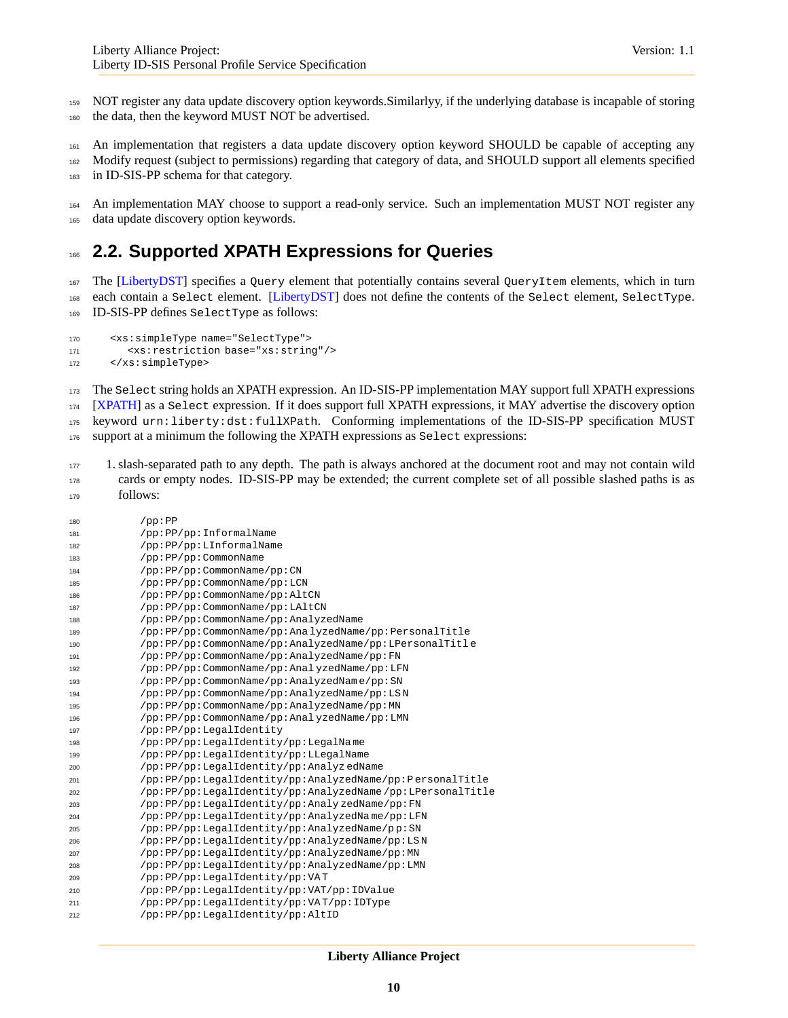NOT register any data update discovery option keywords.Similarlyy, if the underlying database is incapable of storing the data, then the keyword MUST NOT be advertised.

 An implementation that registers a data update discovery option keyword SHOULD be capable of accepting any Modify request (subject to permissions) regarding that category of data, and SHOULD support all elements specified in ID-SIS-PP schema for that category.

164 An implementation MAY choose to support a read-only service. Such an implementation MUST NOT register any data update discovery option keywords.

## <span id="page-9-0"></span>**2.2. Supported XPATH Expressions for Queries**

 The [\[LibertyDST\]](#page-34-2) specifies a Query element that potentially contains several QueryItem elements, which in turn each contain a Select element. [\[LibertyDST\]](#page-34-2) does not define the contents of the Select element, SelectType. ID-SIS-PP defines SelectType as follows:

```
170 <xs:simpleType name="SelectType">
171 <xs:restriction base="xs:string"/>
172 </xs:simpleType>
```
 The Select string holds an XPATH expression. An ID-SIS-PP implementation MAY support full XPATH expressions [\[XPATH\]](#page-34-12) as a Select expression. If it does support full XPATH expressions, it MAY advertise the discovery option keyword urn:liberty:dst:fullXPath. Conforming implementations of the ID-SIS-PP specification MUST support at a minimum the following the XPATH expressions as Select expressions:

 1. slash-separated path to any depth. The path is always anchored at the document root and may not contain wild cards or empty nodes. ID-SIS-PP may be extended; the current complete set of all possible slashed paths is as follows:

| 180 | pp:PP                                                     |
|-----|-----------------------------------------------------------|
| 181 | /pp:PP/pp:InformalName                                    |
| 182 | /pp:PP/pp:LInformalName                                   |
| 183 | /pp:PP/pp:CommonName                                      |
| 184 | /pp:PP/pp:CommonName/pp:CN                                |
| 185 | /pp:PP/pp:CommonName/pp:LCN                               |
| 186 | /pp:PP/pp:CommonName/pp:AltCN                             |
| 187 | /pp:PP/pp:CommonName/pp:LAltCN                            |
| 188 | /pp:PP/pp:CommonName/pp:AnalyzedName                      |
| 189 | /pp:PP/pp:CommonName/pp:AnalyzedName/pp:PersonalTitle     |
| 190 | /pp:PP/pp:CommonName/pp:AnalyzedName/pp:LPersonalTitle    |
| 191 | /pp:PP/pp:CommonName/pp:AnalyzedName/pp:FN                |
| 192 | /pp:PP/pp:CommonName/pp:AnalyzedName/pp:LFN               |
| 193 | /pp:PP/pp:CommonName/pp:AnalyzedName/pp:SN                |
| 194 | /pp:PP/pp:CommonName/pp:AnalyzedName/pp:LSN               |
| 195 | /pp:PP/pp:CommonName/pp:AnalyzedName/pp:MN                |
| 196 | /pp:PP/pp:CommonName/pp:AnalyzedName/pp:LMN               |
| 197 | /pp:PP/pp:LegalIdentity                                   |
| 198 | /pp:PP/pp:LegalIdentity/pp:LegalName                      |
| 199 | /pp:PP/pp:LegalIdentity/pp:LLegalName                     |
| 200 | /pp:PP/pp:LegalIdentity/pp:AnalyzedName                   |
| 201 | /pp:PP/pp:LegalIdentity/pp:AnalyzedName/pp:PersonalTitle  |
| 202 | /pp:PP/pp:LegalIdentity/pp:AnalyzedName/pp:LPersonalTitle |
| 203 | /pp:PP/pp:LegalIdentity/pp:AnalyzedName/pp:FN             |
| 204 | /pp:PP/pp:LegalIdentity/pp:AnalyzedName/pp:LFN            |
| 205 | /pp:PP/pp:LegalIdentity/pp:AnalyzedName/pp:SN             |
| 206 | /pp:PP/pp:LegalIdentity/pp:AnalyzedName/pp:LSN            |
| 207 | /pp:PP/pp:LegalIdentity/pp:AnalyzedName/pp:MN             |
| 208 | /pp:PP/pp:LegalIdentity/pp:AnalyzedName/pp:LMN            |
| 209 | /pp:PP/pp:LegalIdentity/pp:VAT                            |
| 210 | /pp:PP/pp:LegalIdentity/pp:VAT/pp:IDValue                 |
| 211 | /pp:PP/pp:LegalIdentity/pp:VAT/pp:IDType                  |
| 212 | /pp:PP/pp:LegalIdentity/pp:AltID                          |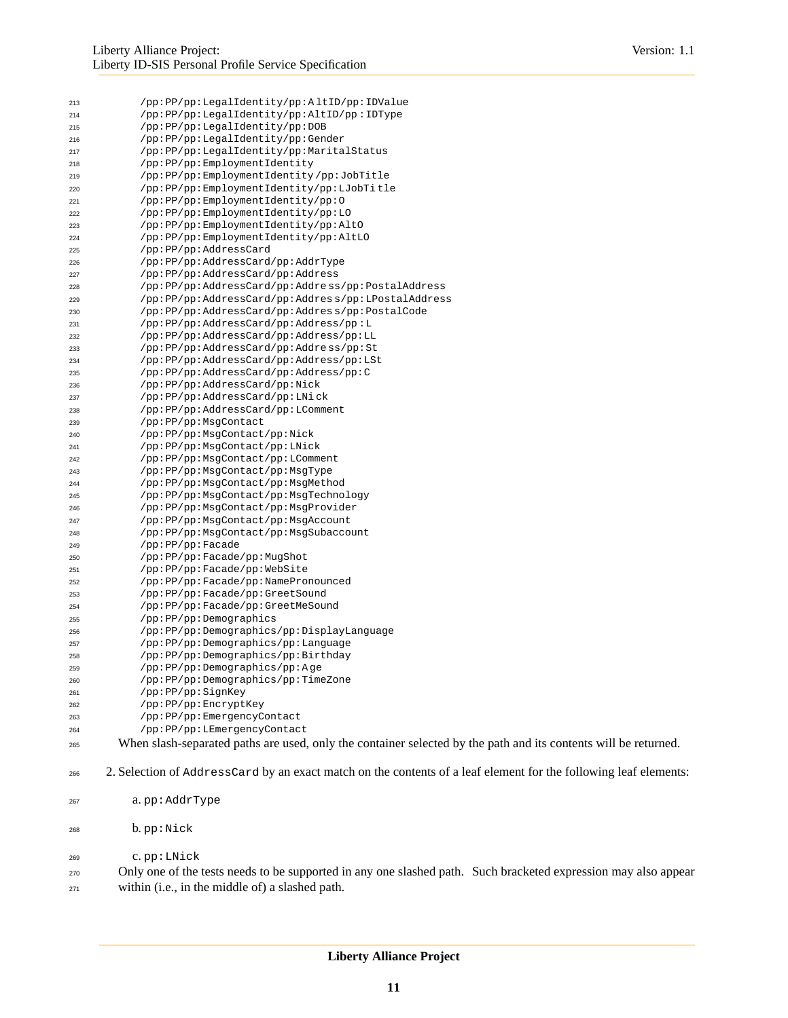| 213 | /pp:PP/pp:LegalIdentity/pp:AltID/pp:IDValue        |
|-----|----------------------------------------------------|
| 214 | /pp:PP/pp:LegalIdentity/pp:AltID/pp:IDType         |
| 215 | /pp:PP/pp:LegalIdentity/pp:DOB                     |
| 216 | /pp:PP/pp:LegalIdentity/pp:Gender                  |
| 217 | /pp:PP/pp:LegalIdentity/pp:MaritalStatus           |
| 218 | /pp:PP/pp:EmploymentIdentity                       |
| 219 | /pp:PP/pp:EmploymentIdentity/pp:JobTitle           |
| 220 | /pp:PP/pp:EmploymentIdentity/pp:LJobTitle          |
| 221 | /pp:PP/pp:EmploymentIdentity/pp:0                  |
| 222 | /pp:PP/pp:EmploymentIdentity/pp:LO                 |
| 223 | /pp:PP/pp:EmploymentIdentity/pp:AltO               |
| 224 | /pp:PP/pp:EmploymentIdentity/pp:AltLO              |
| 225 | /pp:PP/pp:AddressCard                              |
| 226 | /pp:PP/pp:AddressCard/pp:AddrType                  |
| 227 | /pp:PP/pp:AddressCard/pp:Address                   |
| 228 | /pp:PP/pp:AddressCard/pp:Address/pp:PostalAddress  |
| 229 | /pp:PP/pp:AddressCard/pp:Address/pp:LPostalAddress |
| 230 | /pp:PP/pp:AddressCard/pp:Address/pp:PostalCode     |
| 231 | /pp:PP/pp:AddressCard/pp:Address/pp:L              |
| 232 | /pp:PP/pp:AddressCard/pp:Address/pp:LL             |
| 233 | /pp:PP/pp:AddressCard/pp:Address/pp:St             |
| 234 | /pp:PP/pp:AddressCard/pp:Address/pp:LSt            |
| 235 | /pp:PP/pp:AddressCard/pp:Address/pp:C              |
| 236 | /pp:PP/pp:AddressCard/pp:Nick                      |
| 237 | /pp:PP/pp:AddressCard/pp:LNick                     |
| 238 | /pp:PP/pp:AddressCard/pp:LComment                  |
| 239 | /pp:PP/pp:MsgContact                               |
| 240 | /pp:PP/pp:MsgContact/pp:Nick                       |
| 241 | /pp:PP/pp:MsgContact/pp:LNick                      |
| 242 | /pp:PP/pp:MsgContact/pp:LComment                   |
| 243 | /pp:PP/pp:MsgContact/pp:MsgType                    |
| 244 | /pp:PP/pp:MsgContact/pp:MsgMethod                  |
| 245 | /pp:PP/pp:MsgContact/pp:MsgTechnology              |
| 246 | /pp:PP/pp:MsgContact/pp:MsgProvider                |
| 247 | /pp:PP/pp:MsqContact/pp:MsqAccount                 |
| 248 | /pp:PP/pp:MsgContact/pp:MsgSubaccount              |
| 249 | /pp:PP/pp:Facade                                   |
| 250 | /pp:PP/pp:Facade/pp:MugShot                        |
| 251 | /pp:PP/pp:Facade/pp:WebSite                        |
| 252 | /pp:PP/pp:Facade/pp:NamePronounced                 |
| 253 | /pp:PP/pp:Facade/pp:GreetSound                     |
| 254 | /pp:PP/pp:Facade/pp:GreetMeSound                   |
| 255 | /pp:PP/pp:Demographics                             |
| 256 | /pp:PP/pp:Demographics/pp:DisplayLanguage          |
| 257 | /pp:PP/pp:Demographics/pp:Language                 |
| 258 | /pp:PP/pp:Demographics/pp:Birthday                 |
| 259 | /pp:PP/pp:Demographics/pp:Age                      |
| 260 | /pp:PP/pp:Demographics/pp:TimeZone                 |
| 261 | /pp:PP/pp:SignKey                                  |
| 262 | /pp:PP/pp:EncryptKey                               |
| 263 | /pp:PP/pp:EmergencyContact                         |
| 264 | /pp:PP/pp:LEmergencyContact                        |

- When slash-separated paths are used, only the container selected by the path and its contents will be returned.
- 2. Selection of AddressCard by an exact match on the contents of a leaf element for the following leaf elements:
- a. pp:AddrType
- b. pp:Nick
- c. pp:LNick

 Only one of the tests needs to be supported in any one slashed path. Such bracketed expression may also appear within (i.e., in the middle of) a slashed path.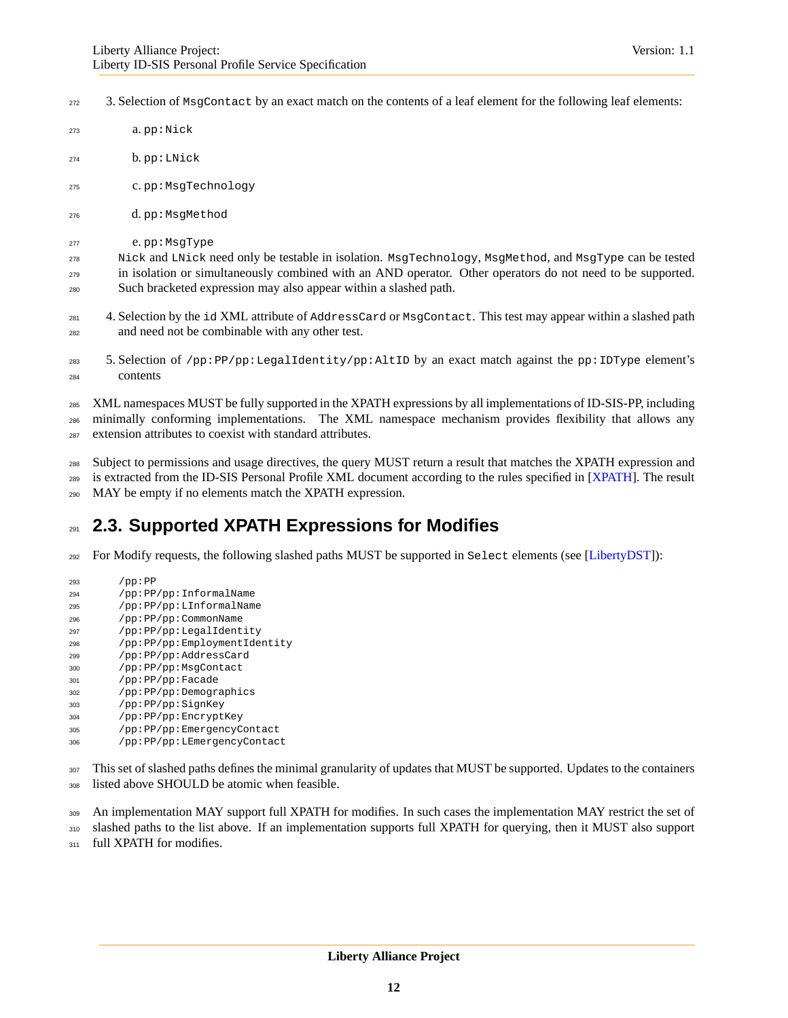- 3. Selection of MsqContact by an exact match on the contents of a leaf element for the following leaf elements:
- a. pp:Nick
- b. pp:LNick
- c. pp:MsgTechnology
- d. pp:MsgMethod
- e. pp:MsgType

 Nick and LNick need only be testable in isolation. MsgTechnology, MsgMethod, and MsgType can be tested in isolation or simultaneously combined with an AND operator. Other operators do not need to be supported. Such bracketed expression may also appear within a slashed path.

- 281 4. Selection by the id XML attribute of AddressCard or MsgContact. This test may appear within a slashed path and need not be combinable with any other test.
- 5. Selection of /pp:PP/pp:LegalIdentity/pp:AltID by an exact match against the pp:IDType element's contents
- XML namespaces MUST be fully supported in the XPATH expressions by all implementations of ID-SIS-PP, including minimally conforming implementations. The XML namespace mechanism provides flexibility that allows any
- extension attributes to coexist with standard attributes.

 Subject to permissions and usage directives, the query MUST return a result that matches the XPATH expression and <sup>289</sup> is extracted from the ID-SIS Personal Profile XML document according to the rules specified in [\[XPATH\]](#page-34-12). The result MAY be empty if no elements match the XPATH expression.

## <span id="page-11-0"></span>**2.3. Supported XPATH Expressions for Modifies**

- For Modify requests, the following slashed paths MUST be supported in Select elements (see [\[LibertyDST\]](#page-34-2)):
- /pp:PP /pp:PP/pp:InformalName
- /pp:PP/pp:LInformalName
- /pp:PP/pp:CommonName
- /pp:PP/pp:LegalIdentity
- /pp:PP/pp:EmploymentIdentity
- /pp:PP/pp:AddressCard
- /pp:PP/pp:MsgContact
- /pp:PP/pp:Facade
- /pp:PP/pp:Demographics
- /pp:PP/pp:SignKey
- /pp:PP/pp:EncryptKey
- /pp:PP/pp:EmergencyContact /pp:PP/pp:LEmergencyContact
- This set of slashed paths defines the minimal granularity of updates that MUST be supported. Updates to the containers listed above SHOULD be atomic when feasible.
- 309 An implementation MAY support full XPATH for modifies. In such cases the implementation MAY restrict the set of

slashed paths to the list above. If an implementation supports full XPATH for querying, then it MUST also support

311 full XPATH for modifies.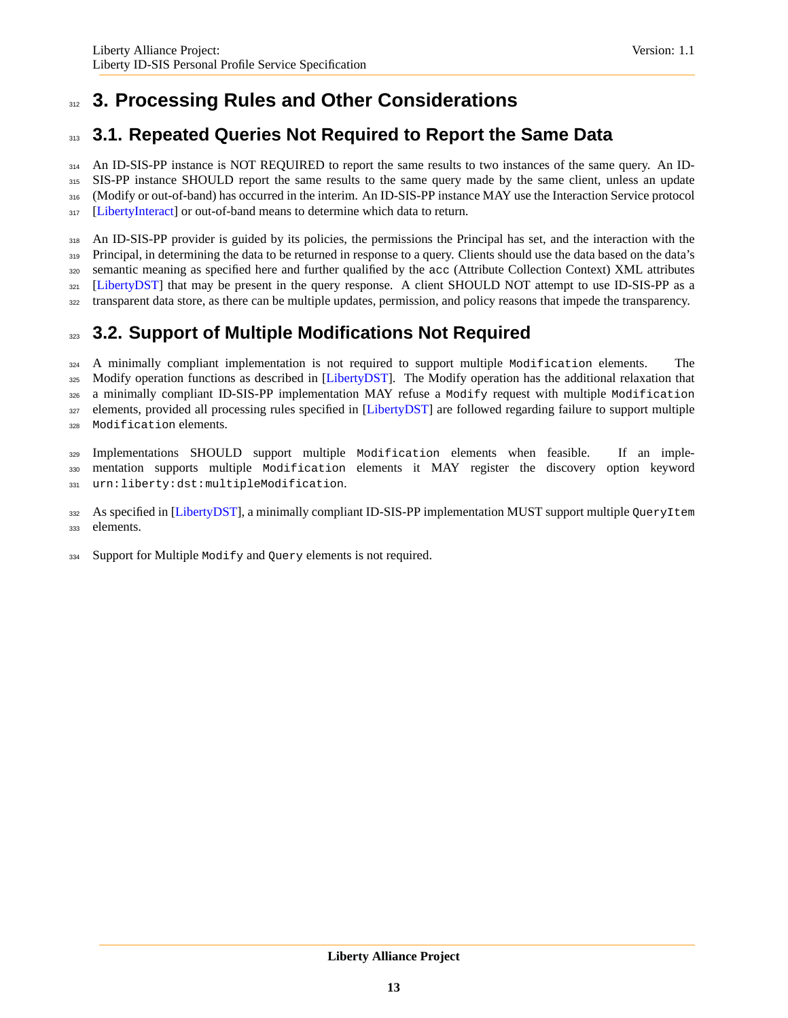## <span id="page-12-0"></span><sup>312</sup> **3. Processing Rules and Other Considerations**

## <span id="page-12-1"></span><sup>313</sup> **3.1. Repeated Queries Not Required to Report the Same Data**

314 An ID-SIS-PP instance is NOT REQUIRED to report the same results to two instances of the same query. An ID-315 SIS-PP instance SHOULD report the same results to the same query made by the same client, unless an update 316 (Modify or out-of-band) has occurred in the interim. An ID-SIS-PP instance MAY use the Interaction Service protocol 317 [\[LibertyInteract\]](#page-34-6) or out-of-band means to determine which data to return.

318 An ID-SIS-PP provider is guided by its policies, the permissions the Principal has set, and the interaction with the 319 Principal, in determining the data to be returned in response to a query. Clients should use the data based on the data's <sup>320</sup> semantic meaning as specified here and further qualified by the acc (Attribute Collection Context) XML attributes <sup>321</sup> [\[LibertyDST\]](#page-34-2) that may be present in the query response. A client SHOULD NOT attempt to use ID-SIS-PP as a <sup>322</sup> transparent data store, as there can be multiple updates, permission, and policy reasons that impede the transparency.

## <span id="page-12-2"></span><sup>323</sup> **3.2. Support of Multiple Modifications Not Required**

<sup>324</sup> A minimally compliant implementation is not required to support multiple Modification elements. The 325 Modify operation functions as described in [\[LibertyDST\]](#page-34-2). The Modify operation has the additional relaxation that 326 a minimally compliant ID-SIS-PP implementation MAY refuse a Modify request with multiple Modification 327 elements, provided all processing rules specified in [\[LibertyDST\]](#page-34-2) are followed regarding failure to support multiple <sup>328</sup> Modification elements.

<sup>329</sup> Implementations SHOULD support multiple Modification elements when feasible. If an imple-<sup>330</sup> mentation supports multiple Modification elements it MAY register the discovery option keyword <sup>331</sup> urn:liberty:dst:multipleModification.

332 As specified in [\[LibertyDST\]](#page-34-2), a minimally compliant ID-SIS-PP implementation MUST support multiple QueryItem <sup>333</sup> elements.

334 Support for Multiple Modify and Query elements is not required.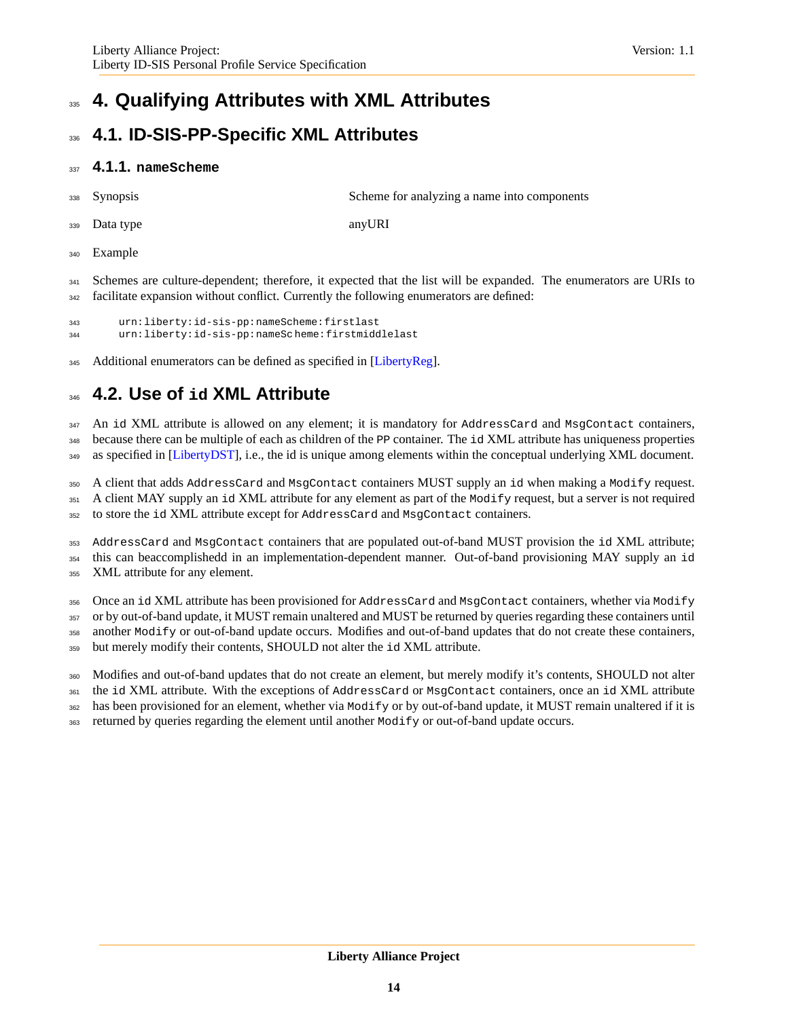## <span id="page-13-0"></span>**4. Qualifying Attributes with XML Attributes**

## <span id="page-13-1"></span>**4.1. ID-SIS-PP-Specific XML Attributes**

### **4.1.1. nameScheme**

Synopsis Scheme for analyzing a name into components

Data type anyURI

341 Schemes are culture-dependent; therefore, it expected that the list will be expanded. The enumerators are URIs to facilitate expansion without conflict. Currently the following enumerators are defined:

```
343 urn:liberty:id-sis-pp:nameScheme:firstlast
344 urn:liberty:id-sis-pp:nameSc heme:firstmiddlelast
```
<span id="page-13-2"></span>345 Additional enumerators can be defined as specified in [\[LibertyReg\]](#page-34-11).

## **4.2. Use of id XML Attribute**

347 An id XML attribute is allowed on any element; it is mandatory for AddressCard and MsgContact containers, 348 because there can be multiple of each as children of the PP container. The id XML attribute has uniqueness properties

349 as specified in [\[LibertyDST\]](#page-34-2), i.e., the id is unique among elements within the conceptual underlying XML document.

A client that adds AddressCard and MsgContact containers MUST supply an id when making a Modify request.

 A client MAY supply an id XML attribute for any element as part of the Modify request, but a server is not required to store the id XML attribute except for AddressCard and MsgContact containers.

 AddressCard and MsgContact containers that are populated out-of-band MUST provision the id XML attribute; this can beaccomplishedd in an implementation-dependent manner. Out-of-band provisioning MAY supply an id

XML attribute for any element.

 Once an id XML attribute has been provisioned for AddressCard and MsgContact containers, whether via Modify or by out-of-band update, it MUST remain unaltered and MUST be returned by queries regarding these containers until another Modify or out-of-band update occurs. Modifies and out-of-band updates that do not create these containers, but merely modify their contents, SHOULD not alter the id XML attribute.

Modifies and out-of-band updates that do not create an element, but merely modify it's contents, SHOULD not alter

361 the id XML attribute. With the exceptions of AddressCard or MsgContact containers, once an id XML attribute

has been provisioned for an element, whether via Modify or by out-of-band update, it MUST remain unaltered if it is

returned by queries regarding the element until another Modify or out-of-band update occurs.

Example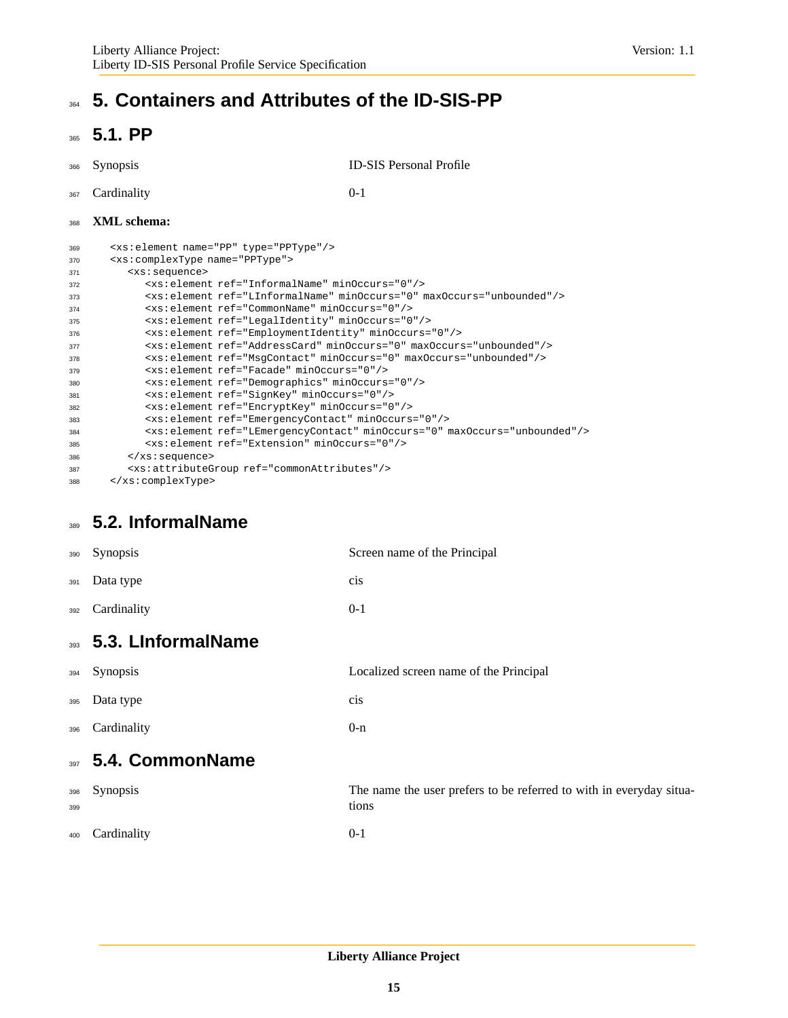## <span id="page-14-1"></span><span id="page-14-0"></span>**364 5. Containers and Attributes of the ID-SIS-PP**

## **5.1. PP**

Synopsis ID-SIS Personal Profile

Cardinality 0-1

### **XML schema:**

| 369 | <xs:element name="PP" type="PPType"></xs:element>                                                                                         |
|-----|-------------------------------------------------------------------------------------------------------------------------------------------|
| 370 | <xs:complextype name="PPType"></xs:complextype>                                                                                           |
| 371 | <xs:sequence></xs:sequence>                                                                                                               |
| 372 | <xs:element minoccurs="0" ref="InformalName"></xs:element>                                                                                |
| 373 | <xs:element_ref="linformalname"_minoccurs="0"_maxoccurs="unbounded"></xs:element_ref="linformalname"_minoccurs="0"_maxoccurs="unbounded"> |
| 374 | <xs:element minoccurs="0" ref="CommonName"></xs:element>                                                                                  |
| 375 | <xs:element minoccurs="0" ref="LeqalIdentity"></xs:element>                                                                               |
| 376 | <xs:element minoccurs="0" ref="EmploymentIdentity"></xs:element>                                                                          |
| 377 | <xs:element maxoccurs="unbounded" minoccurs="0" ref="AddressCard"></xs:element>                                                           |
| 378 | <xs:element maxoccurs="unbounded" minoccurs="0" ref="MsqContact"></xs:element>                                                            |
| 379 | <xs:element minoccurs="0" ref="Facade"></xs:element>                                                                                      |
| 380 | <xs: element="" minoccurs="0" ref="Demographics"></xs:>                                                                                   |
| 381 | <xs: element="" minoccurs="0" ref="SignKey"></xs:>                                                                                        |
| 382 | <xs: element="" minoccurs="0" ref="EncryptKey"></xs:>                                                                                     |
| 383 | <xs:element minoccurs="0" ref="EmergencyContact"></xs:element>                                                                            |
| 384 | <xs:element maxoccurs="unbounded" minoccurs="0" ref="LEmergencyContact"></xs:element>                                                     |
| 385 | <xs:element minoccurs="0" ref="Extension"></xs:element>                                                                                   |
| 386 | $\langle xs : \text{sequence} \rangle$                                                                                                    |
| 387 | <xs: attributegroup="" ref="commonAttributes"></xs:>                                                                                      |
| 388 |                                                                                                                                           |

## <span id="page-14-2"></span>**5.2. InformalName**

<span id="page-14-4"></span><span id="page-14-3"></span>

| 390        | Synopsis               | Screen name of the Principal                                                 |
|------------|------------------------|------------------------------------------------------------------------------|
| 391        | Data type              | cis                                                                          |
| 392        | Cardinality            | $0-1$                                                                        |
|            | 393 5.3. LinformalName |                                                                              |
| 394        | Synopsis               | Localized screen name of the Principal                                       |
| 395        | Data type              | cis                                                                          |
| 396        | Cardinality            | $0-n$                                                                        |
| 397        | 5.4. CommonName        |                                                                              |
| 398<br>399 | Synopsis               | The name the user prefers to be referred to with in everyday situa-<br>tions |
| 400        | Cardinality            | $0 - 1$                                                                      |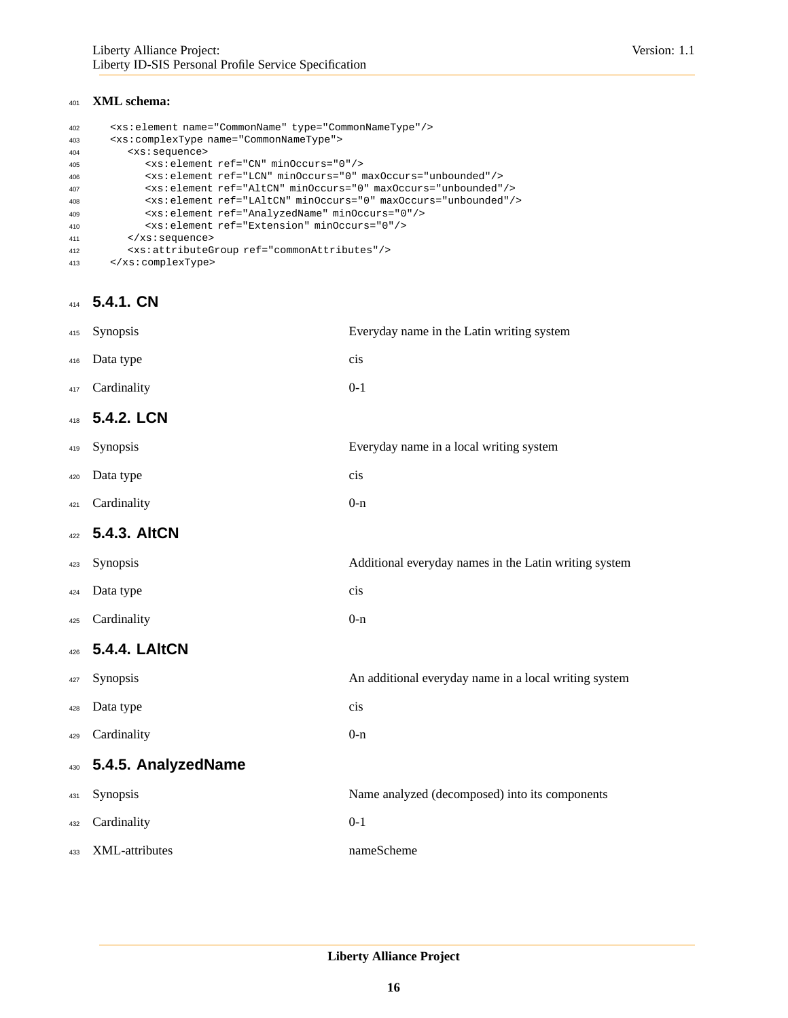### **XML schema:**

| <xs:element name="CommonName" type="CommonNameType"></xs:element>          |
|----------------------------------------------------------------------------|
| <xs:complextype name="CommonNameType"></xs:complextype>                    |
| <xs:sequence></xs:sequence>                                                |
| <xs:element minoccurs="0" ref="CN"></xs:element>                           |
| <xs:element maxoccurs="unbounded" minoccurs="0" ref="LCN"></xs:element>    |
| <xs:element maxoccurs="unbounded" minoccurs="0" ref="AltCN"></xs:element>  |
| <xs:element maxoccurs="unbounded" minoccurs="0" ref="LAltCN"></xs:element> |
| <xs:element minoccurs="0" ref="AnalyzedName"></xs:element>                 |
| <xs: element="" minoccurs="0" ref="Extension"></xs:>                       |
| $\langle xs : \text{sequence} \rangle$                                     |
| <xs: attributegroup="" ref="commonAttributes"></xs:>                       |
|                                                                            |
|                                                                            |

## **5.4.1. CN**

| 415 | Synopsis             | Everyday name in the Latin writing system             |
|-----|----------------------|-------------------------------------------------------|
| 416 | Data type            | cis                                                   |
| 417 | Cardinality          | $0 - 1$                                               |
| 418 | 5.4.2. LCN           |                                                       |
| 419 | Synopsis             | Everyday name in a local writing system               |
| 420 | Data type            | cis                                                   |
| 421 | Cardinality          | $0 - n$                                               |
| 422 | 5.4.3. AltCN         |                                                       |
| 423 | Synopsis             | Additional everyday names in the Latin writing system |
| 424 | Data type            | cis                                                   |
| 425 | Cardinality          | $0 - n$                                               |
| 426 | <b>5.4.4. LAItCN</b> |                                                       |
| 427 | Synopsis             | An additional everyday name in a local writing system |
| 428 | Data type            | cis                                                   |
| 429 | Cardinality          | $0 - n$                                               |
| 430 | 5.4.5. AnalyzedName  |                                                       |
| 431 | Synopsis             | Name analyzed (decomposed) into its components        |
| 432 | Cardinality          | $0 - 1$                                               |
| 433 | XML-attributes       | nameScheme                                            |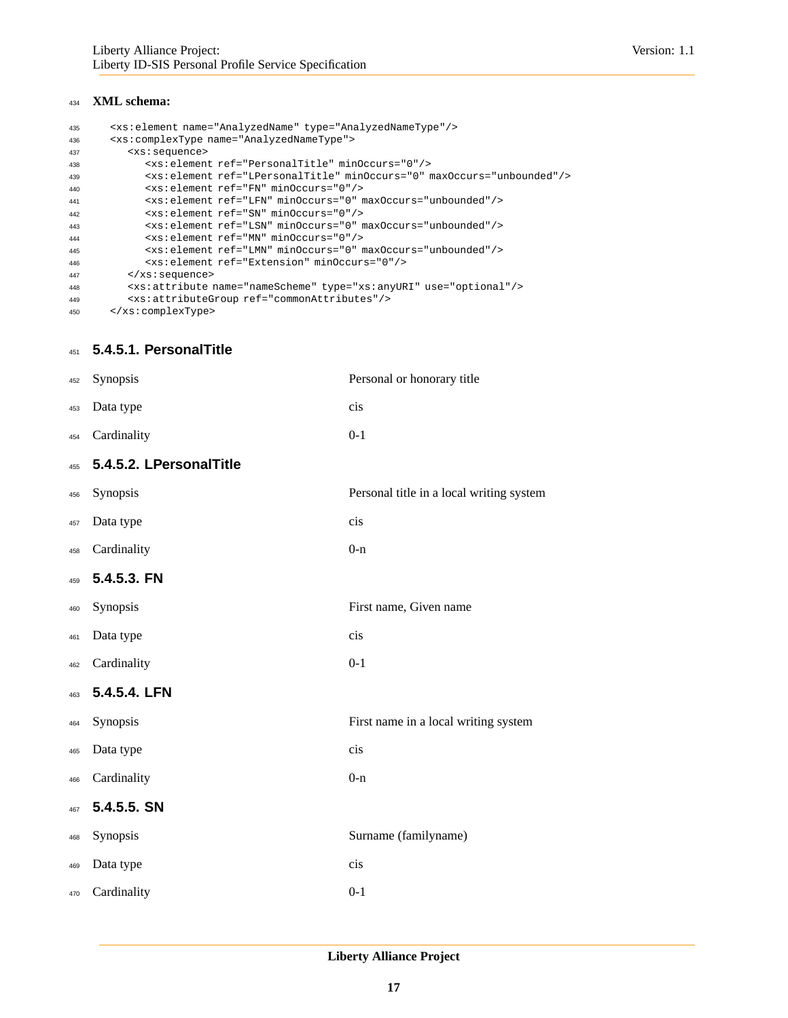#### **XML schema:**

```
435 <xs:element name="AnalyzedName" type="AnalyzedNameType"/>
436 <xs:complexType name="AnalyzedNameType">
437 <xs:sequence>
438 <xs:element ref="PersonalTitle" minOccurs="0"/>
439 <xs:element ref="LPersonalTitle" minOccurs="0" maxOccurs="unbounded"/>
440 <xs:element ref="FN" minOccurs="0"/>
441 <xs:element ref="LFN" minOccurs="0" maxOccurs="unbounded"/>
442 <xs:element ref="SN" minOccurs="0"/>
443 <xs:element ref="LSN" minOccurs="0" maxOccurs="unbounded"/>
444 <xs:element ref="MN" minOccurs="0"/>
445 <xs:element ref="LMN" minOccurs="0" maxOccurs="unbounded"/>
446 <xs:element ref="Extension" minOccurs="0"/>
447 </xs:sequence>
448 <xs:attribute name="nameScheme" type="xs:anyURI" use="optional"/>
449 <xs:attributeGroup ref="commonAttributes"/>
450 </xs:complexType>
```
#### **5.4.5.1. PersonalTitle**

| 452 | Synopsis                | Personal or honorary title               |
|-----|-------------------------|------------------------------------------|
| 453 | Data type               | cis                                      |
| 454 | Cardinality             | $0 - 1$                                  |
| 455 | 5.4.5.2. LPersonalTitle |                                          |
| 456 | Synopsis                | Personal title in a local writing system |
| 457 | Data type               | cis                                      |
| 458 | Cardinality             | $0 - n$                                  |
| 459 | 5.4.5.3. FN             |                                          |
| 460 | Synopsis                | First name, Given name                   |
| 461 | Data type               | cis                                      |
| 462 | Cardinality             | $0 - 1$                                  |
| 463 | 5.4.5.4. LFN            |                                          |
| 464 | Synopsis                | First name in a local writing system     |
| 465 | Data type               | cis                                      |
| 466 | Cardinality             | $0 - n$                                  |
| 467 | 5.4.5.5. SN             |                                          |
| 468 | Synopsis                | Surname (familyname)                     |
| 469 | Data type               | cis                                      |
| 470 | Cardinality             | $0 - 1$                                  |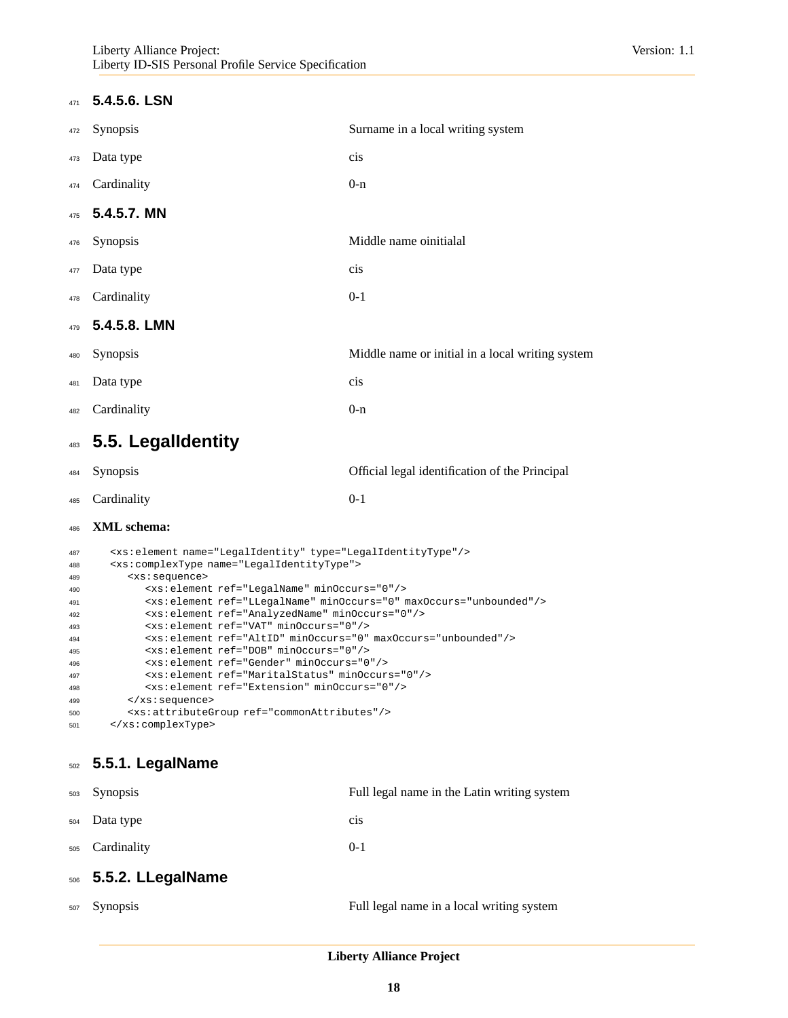### **5.4.5.6. LSN**

| 472 | Synopsis     | Surname in a local writing system                |
|-----|--------------|--------------------------------------------------|
| 473 | Data type    | cis                                              |
| 474 | Cardinality  | $0-n$                                            |
| 475 | 5.4.5.7. MN  |                                                  |
| 476 | Synopsis     | Middle name oinitialal                           |
| 477 | Data type    | cis                                              |
| 478 | Cardinality  | $0 - 1$                                          |
| 479 | 5.4.5.8. LMN |                                                  |
| 480 | Synopsis     | Middle name or initial in a local writing system |
| 481 | Data type    | cis                                              |
| 482 | Cardinality  | $0 - n$                                          |
|     |              |                                                  |

## <span id="page-17-0"></span>**5.5. LegalIdentity**

| 484        | <b>Synopsis</b>                                                                                                                       | Official legal identification of the Principal |
|------------|---------------------------------------------------------------------------------------------------------------------------------------|------------------------------------------------|
| 485        | Cardinality                                                                                                                           | $() - 1$                                       |
| 486        | <b>XML</b> schema:                                                                                                                    |                                                |
| 487<br>488 | <xs:element name="LegalIdentity" type="LegalIdentityType"></xs:element><br><xs:complextype name="LegalIdentityType"></xs:complextype> |                                                |

| 400 | -AS.COMPIEAIYPE HAME- DEGAIIUEHLILYIYPE >                                      |
|-----|--------------------------------------------------------------------------------|
| 489 | <xs:sequence></xs:sequence>                                                    |
| 490 | <xs:element minoccurs="0" ref="LegalName"></xs:element>                        |
| 491 | <xs:element maxoccurs="unbounded" minoccurs="0" ref="LLeqalName"></xs:element> |
| 492 | <xs:element minoccurs="0" ref="AnalyzedName"></xs:element>                     |
| 493 | <xs:element minoccurs="0" ref="VAT"></xs:element>                              |
| 494 | <xs:element maxoccurs="unbounded" minoccurs="0" ref="AltID"></xs:element>      |
| 495 | <xs:element minoccurs="0" ref="DOB"></xs:element>                              |
| 496 | <xs:element minoccurs="0" ref="Gender"></xs:element>                           |
| 497 | <xs: element="" minoccurs="0" ref="MaritalStatus"></xs:>                       |
| 498 | <xs:element minoccurs="0" ref="Extension"></xs:element>                        |
| 499 | $\langle xs : \text{sequence} \rangle$                                         |
| 500 | <xs: attributegroup="" ref="commonAttributes"></xs:>                           |
| 501 |                                                                                |
|     |                                                                                |

### **5.5.1. LegalName**

| 503 | <b>Synopsis</b>       | Full legal name in the Latin writing system |
|-----|-----------------------|---------------------------------------------|
| 504 | Data type             | cis                                         |
| 505 | Cardinality           | $0 - 1$                                     |
|     | 506 5.5.2. LLegalName |                                             |
| 507 | <b>Synopsis</b>       | Full legal name in a local writing system   |
|     |                       |                                             |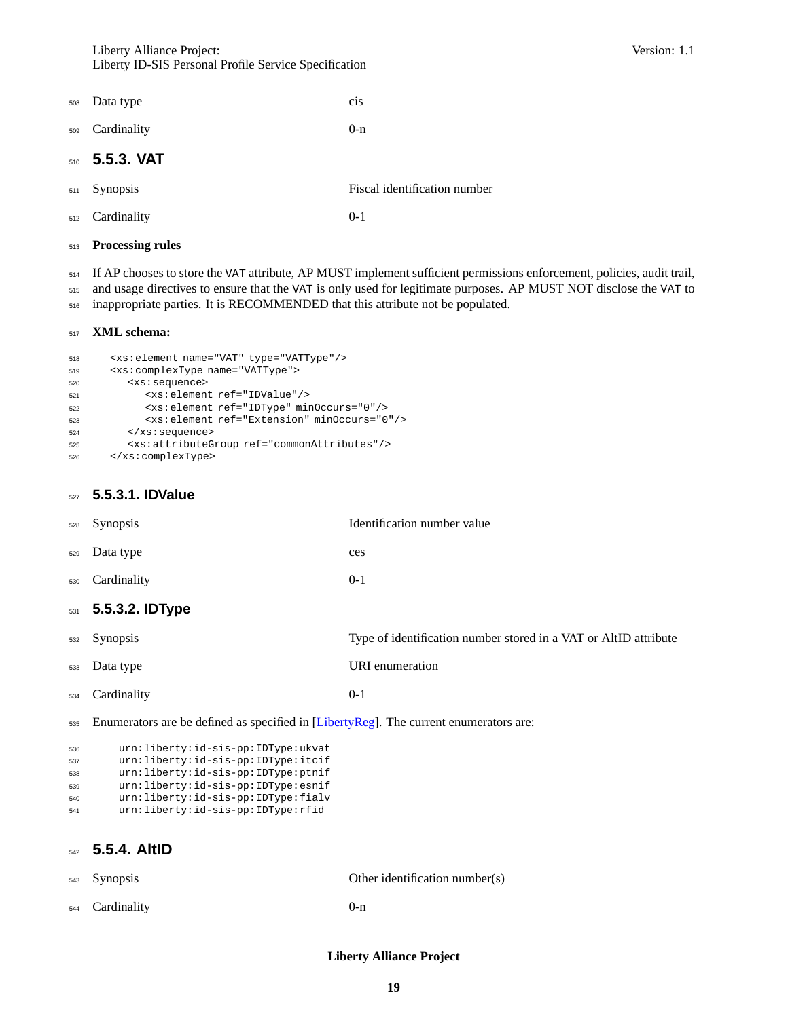<span id="page-18-0"></span>

| 508 | Data type                  | cis                          |
|-----|----------------------------|------------------------------|
| 509 | Cardinality                | $0-n$                        |
|     | 510 5.5.3. VAT             |                              |
| 511 | Synopsis                   | Fiscal identification number |
|     | <sub>512</sub> Cardinality | $0-1$                        |

#### **Processing rules**

 If AP chooses to store the VAT attribute, AP MUST implement sufficient permissions enforcement, policies, audit trail, and usage directives to ensure that the VAT is only used for legitimate purposes. AP MUST NOT disclose the VAT to

inappropriate parties. It is RECOMMENDED that this attribute not be populated.

#### **XML schema:**

| 518 | <xs:element name="VAT" type="VATType"></xs:element>     |
|-----|---------------------------------------------------------|
| 519 | <xs:complextype name="VATType"></xs:complextype>        |
| 520 | <xs:sequence></xs:sequence>                             |
| 521 | <xs:element ref="IDValue"></xs:element>                 |
| 522 | <xs: element="" minoccurs="0" ref="IDType"></xs:>       |
| 523 | <xs:element minoccurs="0" ref="Extension"></xs:element> |
| 524 | $\langle xs : \text{sequence} \rangle$                  |
| 525 | <xs: attributegroup="" ref="commonAttributes"></xs:>    |
| 526 |                                                         |

### **5.5.3.1. IDValue**

|     | 531 5.5.3.2. IDType |                             |
|-----|---------------------|-----------------------------|
| 530 | Cardinality         | $0-1$                       |
| 529 | Data type           | ces                         |
| 528 | Synopsis            | Identification number value |

| <sub>532</sub> Synopsis    | Type of identification number stored in a VAT or AltID attribute |
|----------------------------|------------------------------------------------------------------|
| <sub>533</sub> Data type   | URI enumeration                                                  |
| <sub>534</sub> Cardinality | $() - 1$                                                         |

Enumerators are be defined as specified in [\[LibertyReg\]](#page-34-11). The current enumerators are:

```
536 urn:liberty:id-sis-pp:IDType:ukvat
537 urn:liberty:id-sis-pp:IDType:itcif
538 urn:liberty:id-sis-pp:IDType:ptnif
539 urn:liberty:id-sis-pp:IDType:esnif
540 urn:liberty:id-sis-pp:IDType:fialv
541 urn:liberty:id-sis-pp:IDType:rfid
```
## **5.5.4. AltID**

| <sub>543</sub> Synopsis    | Other identification number(s) |
|----------------------------|--------------------------------|
| <sub>544</sub> Cardinality | $()$ -n                        |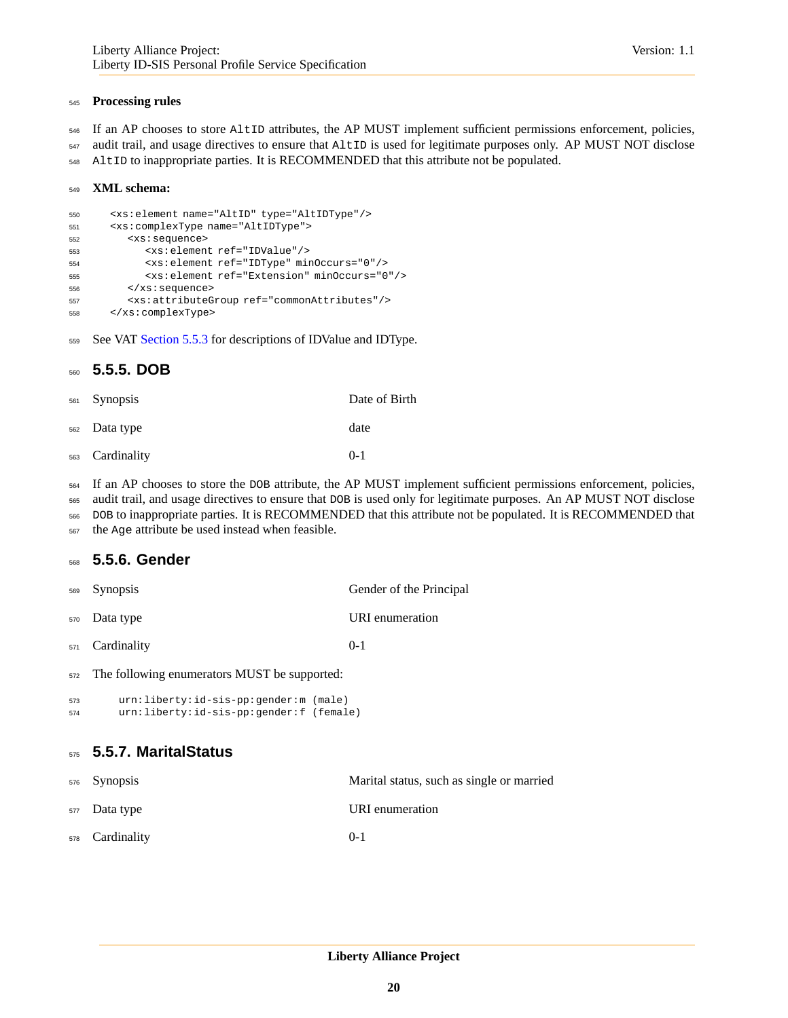#### **Processing rules**

- If an AP chooses to store AltID attributes, the AP MUST implement sufficient permissions enforcement, policies,
- audit trail, and usage directives to ensure that AltID is used for legitimate purposes only. AP MUST NOT disclose
- AltID to inappropriate parties. It is RECOMMENDED that this attribute not be populated.

#### **XML schema:**

```
550 <xs:element name="AltID" type="AltIDType"/>
551 <xs:complexType name="AltIDType">
552 <xs:sequence>
553 <xs:element ref="IDValue"/>
554 <xs:element ref="IDType" minOccurs="0"/>
555 <xs:element ref="Extension" minOccurs="0"/>
556 </xs:sequence>
557 <xs:attributeGroup ref="commonAttributes"/>
558 </xs:complexType>
```
559 See VAT [Section 5.5.3](#page-18-0) for descriptions of IDValue and IDType.

### **5.5.5. DOB**

| <sub>561</sub> Synopsis    | Date of Birth |
|----------------------------|---------------|
| <sub>562</sub> Data type   | date          |
| <sub>563</sub> Cardinality | $0 - 1$       |

If an AP chooses to store the DOB attribute, the AP MUST implement sufficient permissions enforcement, policies,

- audit trail, and usage directives to ensure that DOB is used only for legitimate purposes. An AP MUST NOT disclose
- DOB to inappropriate parties. It is RECOMMENDED that this attribute not be populated. It is RECOMMENDED that
- the Age attribute be used instead when feasible.

#### **5.5.6. Gender**

- Synopsis Gender of the Principal Data type URI enumeration Cardinality 0-1
- The following enumerators MUST be supported:

```
573 urn:liberty:id-sis-pp:gender:m (male)
574 urn:liberty:id-sis-pp:gender:f (female)
```
### **5.5.7. MaritalStatus**

| <sub>576</sub> Synopsis    | Marital status, such as single or married |
|----------------------------|-------------------------------------------|
| <sub>577</sub> Data type   | URI enumeration                           |
| <sub>578</sub> Cardinality | $0 - 1$                                   |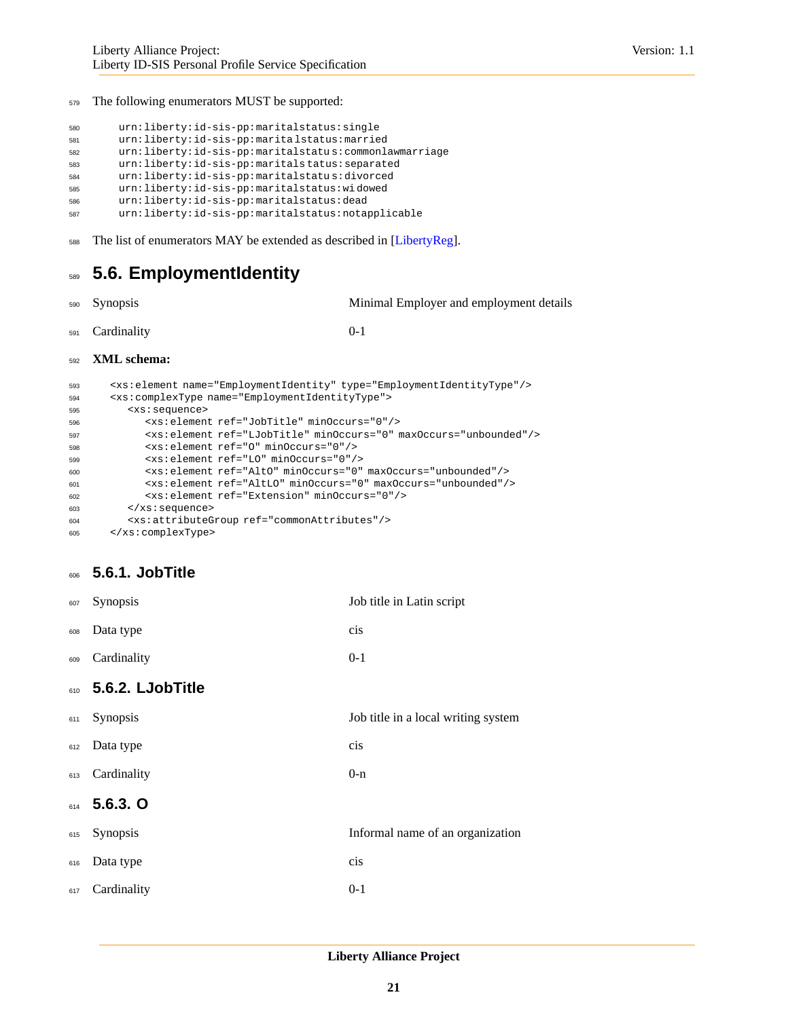The following enumerators MUST be supported:

```
580 urn:liberty:id-sis-pp:maritalstatus:single
581 urn:liberty:id-sis-pp:marita lstatus:married
582 urn:liberty:id-sis-pp:maritalstatu s:commonlawmarriage
583 urn:liberty:id-sis-pp:maritals tatus:separated
584 urn:liberty:id-sis-pp:maritalstatu s:divorced
585 urn:liberty:id-sis-pp:maritalstatus:wi dowed
586 urn:liberty:id-sis-pp:maritalstatus:dead
587 urn:liberty:id-sis-pp:maritalstatus:notapplicable
```
<span id="page-20-0"></span>588 The list of enumerators MAY be extended as described in [\[LibertyReg\]](#page-34-11).

## **5.6. EmploymentIdentity**

Synopsis Minimal Employer and employment details

Cardinality 0-1

#### **XML schema:**

```
593 <xs:element name="EmploymentIdentity" type="EmploymentIdentityType"/>
594 <xs:complexType name="EmploymentIdentityType">
595 <xs:sequence>
596 <xs:element ref="JobTitle" minOccurs="0"/>
597 <xs:element ref="LJobTitle" minOccurs="0" maxOccurs="unbounded"/>
598 <xs:element ref="O" minOccurs="0"/>
599 <xs:element ref="LO" minOccurs="0"/>
600 <xs:element ref="AltO" minOccurs="0" maxOccurs="unbounded"/>
601 <xs:element ref="AltLO" minOccurs="0" maxOccurs="unbounded"/>
602 <xs:element ref="Extension" minOccurs="0"/>
603 </xs:sequence>
604 <xs:attributeGroup ref="commonAttributes"/>
605 </xs:complexType>
```
### **5.6.1. JobTitle**

| 607 | Synopsis         | Job title in Latin script           |
|-----|------------------|-------------------------------------|
| 608 | Data type        | cis                                 |
| 609 | Cardinality      | $0-1$                               |
| 610 | 5.6.2. LJobTitle |                                     |
| 611 | Synopsis         | Job title in a local writing system |
| 612 | Data type        | cis                                 |
| 613 | Cardinality      | $0-n$                               |
| 614 | $5.6.3.$ O       |                                     |
| 615 | Synopsis         | Informal name of an organization    |
| 616 | Data type        | cis                                 |
| 617 | Cardinality      | $0 - 1$                             |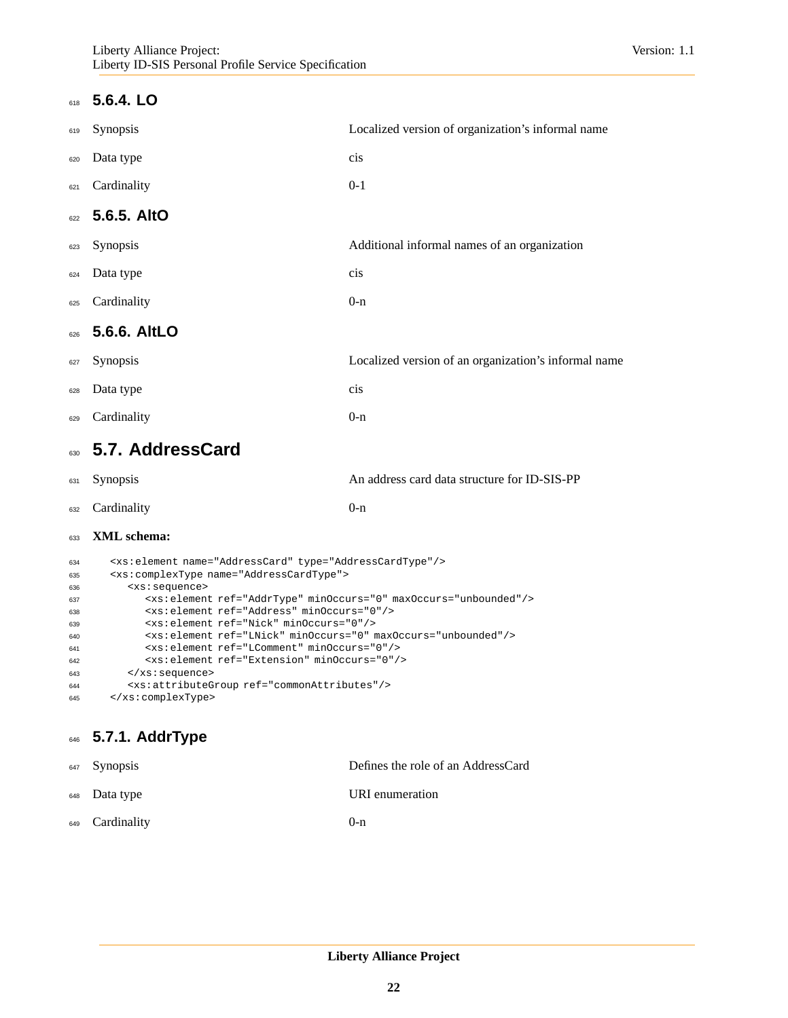### **5.6.4. LO**

| 619 | Synopsis        | Localized version of organization's informal name    |
|-----|-----------------|------------------------------------------------------|
| 620 | Data type       | cis                                                  |
| 621 | Cardinality     | $0-1$                                                |
|     | 622 5.6.5. AltO |                                                      |
| 623 | Synopsis        | Additional informal names of an organization         |
| 624 | Data type       | cis                                                  |
| 625 | Cardinality     | $0-n$                                                |
| 626 | 5.6.6. AltLO    |                                                      |
| 627 | Synopsis        | Localized version of an organization's informal name |
| 628 | Data type       | cis                                                  |
| 629 | Cardinality     | $0 - n$                                              |
|     |                 |                                                      |

## <span id="page-21-0"></span>**5.7. AddressCard**

| 631 Synopsis               | An address card data structure for ID-SIS-PP |
|----------------------------|----------------------------------------------|
| <sub>632</sub> Cardinality | $()$ -n                                      |

#### **XML schema:**

| 634 | <xs:element name="AddressCard" type="AddressCardType"></xs:element>          |
|-----|------------------------------------------------------------------------------|
| 635 | <xs:complextype name="AddressCardType"></xs:complextype>                     |
| 636 | <xs:sequence></xs:sequence>                                                  |
| 637 | <xs:element maxoccurs="unbounded" minoccurs="0" ref="AddrType"></xs:element> |
| 638 | <xs:element minoccurs="0" ref="Address"></xs:element>                        |
| 639 | <xs:element minoccurs="0" ref="Nick"></xs:element>                           |
| 640 | <xs:element maxoccurs="unbounded" minoccurs="0" ref="LNick"></xs:element>    |
| 641 | <xs: element="" minoccurs="0" ref="LComment"></xs:>                          |
| 642 | <xs:element minoccurs="0" ref="Extension"></xs:element>                      |
| 643 | $\langle xs : \text{sequence} \rangle$                                       |
| 644 | <xs: attributegroup="" ref="commonAttributes"></xs:>                         |
| 645 |                                                                              |

## **5.7.1. AddrType**

| <sup>647</sup> Synopsis    | Defines the role of an AddressCard |
|----------------------------|------------------------------------|
| <sup>648</sup> Data type   | URI enumeration                    |
| <sup>649</sup> Cardinality | $()$ -n                            |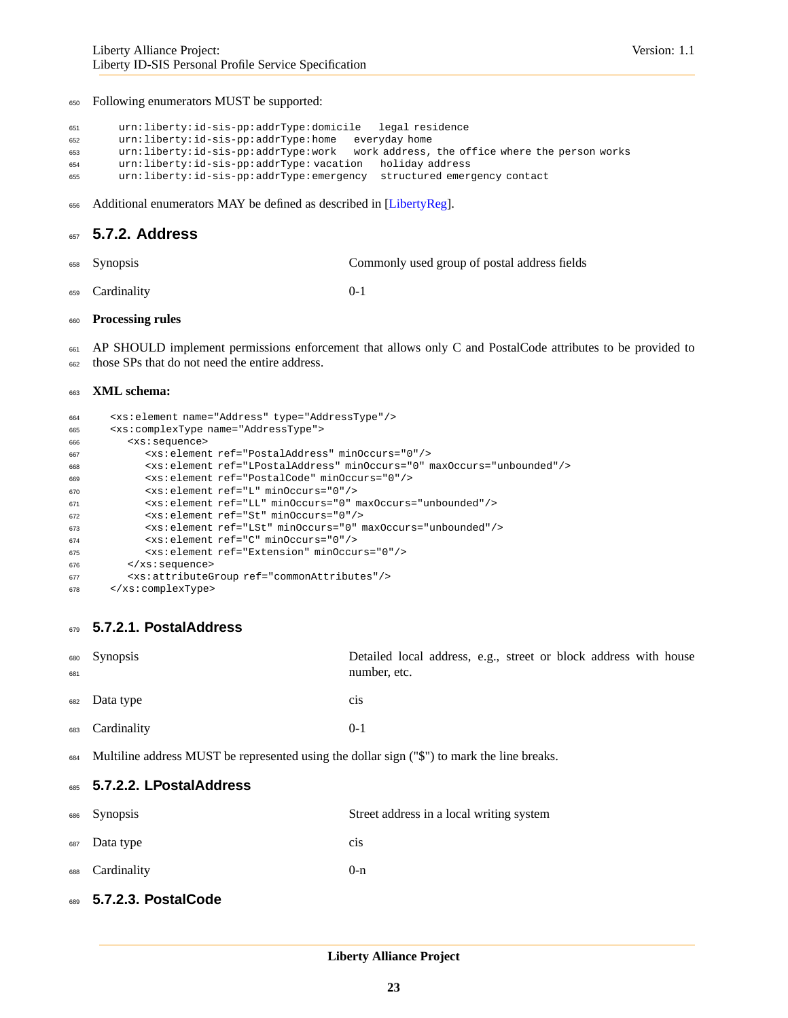Following enumerators MUST be supported:

```
651 urn:liberty:id-sis-pp:addrType:domicile legal residence
652 urn:liberty:id-sis-pp:addrType:home everyday home
653 urn:liberty:id-sis-pp:addrType:work work address, the office where the person works
654 urn:liberty:id-sis-pp:addrType: vacation holiday address
655 urn:liberty:id-sis-pp:addrType:emergency structured emergency contact
```
656 Additional enumerators MAY be defined as described in [\[LibertyReg\]](#page-34-11).

### **5.7.2. Address**

| 658 Synopsis | Commonly used group of postal address fields |
|--------------|----------------------------------------------|
|              |                                              |

Cardinality 0-1

#### **Processing rules**

661 AP SHOULD implement permissions enforcement that allows only C and PostalCode attributes to be provided to those SPs that do not need the entire address.

#### **XML schema:**

| 664 | <xs:element name="Address" type="AddressType"></xs:element>                        |
|-----|------------------------------------------------------------------------------------|
| 665 | <xs:complextype name="AddressType"></xs:complextype>                               |
| 666 | <xs:sequence></xs:sequence>                                                        |
| 667 | <xs: element="" minoccurs="0" ref="PostalAddress"></xs:>                           |
| 668 | <xs:element maxoccurs="unbounded" minoccurs="0" ref="LPostalAddress"></xs:element> |
| 669 | <xs:element minoccurs="0" ref="PostalCode"></xs:element>                           |
| 670 | <xs:element minoccurs="0" ref="L"></xs:element>                                    |
| 671 | <xs:element maxoccurs="unbounded" minoccurs="0" ref="LL"></xs:element>             |
| 672 | <xs:element minoccurs="0" ref="St"></xs:element>                                   |
| 673 | $\{xs:$ element $ref='LSt" minOcurs='0" maxOcurs='unbounded'/$                     |
| 674 | <xs:element minoccurs="0" ref="C"></xs:element>                                    |
| 675 | <xs:element minoccurs="0" ref="Extension"></xs:element>                            |
| 676 | $\langle xs : \text{sequence} \rangle$                                             |
| 677 | <xs: attributegroup="" ref="commonAttributes"></xs:>                               |
| 678 |                                                                                    |

#### **5.7.2.1. PostalAddress**

| 681 | 680 Synopsis                                                                                    | Detailed local address, e.g., street or block address with house<br>number, etc. |
|-----|-------------------------------------------------------------------------------------------------|----------------------------------------------------------------------------------|
|     | <sub>682</sub> Data type                                                                        | C1S                                                                              |
| 683 | Cardinality                                                                                     | $0 - 1$                                                                          |
|     | 684 Multiline address MUST be represented using the dollar sign ("\$") to mark the line breaks. |                                                                                  |
|     | 685 5.7.2.2. LPostalAddress                                                                     |                                                                                  |
|     | 686 Synopsis                                                                                    | Street address in a local writing system                                         |

| $000$ Dynupoid           | Street address in a local writing system |
|--------------------------|------------------------------------------|
| <sub>687</sub> Data type | C1S                                      |
| 688 Cardinality          | $0-n$                                    |

**5.7.2.3. PostalCode**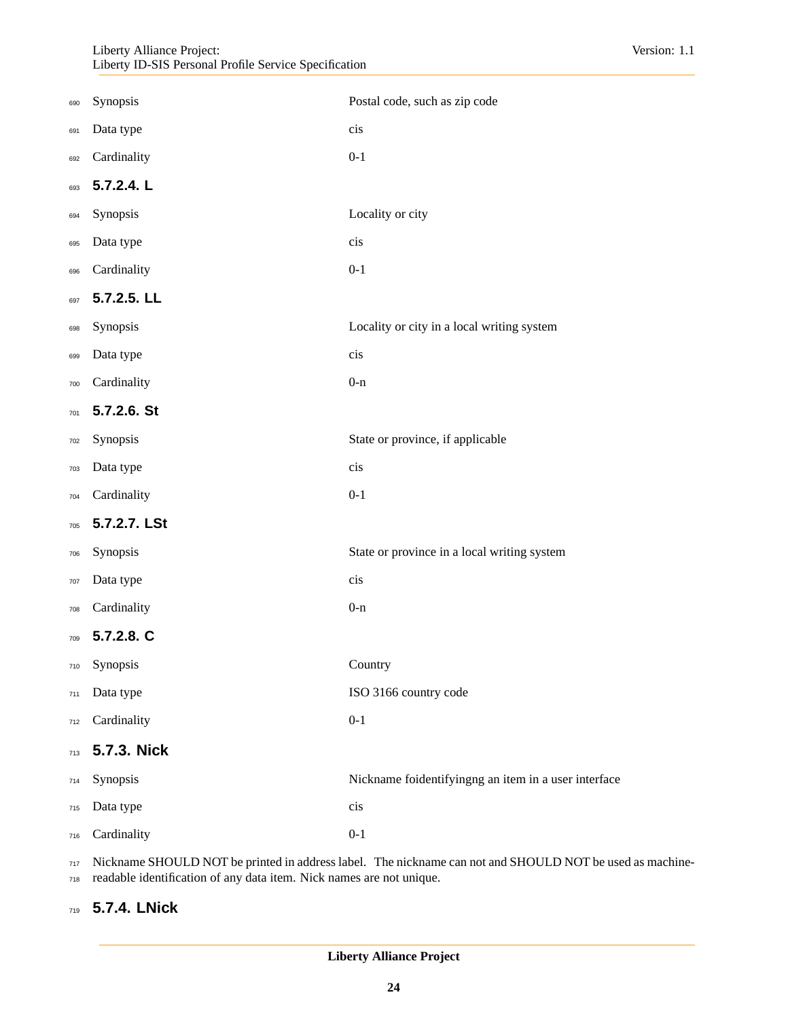| 690 | Synopsis     | Postal code, such as zip code                        |
|-----|--------------|------------------------------------------------------|
| 691 | Data type    | cis                                                  |
| 692 | Cardinality  | $0-1$                                                |
| 693 | 5.7.2.4. L   |                                                      |
| 694 | Synopsis     | Locality or city                                     |
| 695 | Data type    | cis                                                  |
| 696 | Cardinality  | $0 - 1$                                              |
| 697 | 5.7.2.5. LL  |                                                      |
| 698 | Synopsis     | Locality or city in a local writing system           |
| 699 | Data type    | cis                                                  |
| 700 | Cardinality  | $0 - n$                                              |
| 701 | 5.7.2.6. St  |                                                      |
| 702 | Synopsis     | State or province, if applicable                     |
| 703 | Data type    | cis                                                  |
| 704 | Cardinality  | $0-1$                                                |
| 705 | 5.7.2.7. LSt |                                                      |
| 706 | Synopsis     | State or province in a local writing system          |
| 707 | Data type    | cis                                                  |
| 708 | Cardinality  | $0 - n$                                              |
| 709 | 5.7.2.8. C   |                                                      |
| 710 | Synopsis     | Country                                              |
| 711 | Data type    | ISO 3166 country code                                |
| 712 | Cardinality  | $0-1$                                                |
| 713 | 5.7.3. Nick  |                                                      |
| 714 | Synopsis     | Nickname foidentifyingng an item in a user interface |
| 715 | Data type    | cis                                                  |
| 716 | Cardinality  | $0 - 1$                                              |

717 Nickname SHOULD NOT be printed in address label. The nickname can not and SHOULD NOT be used as machine-

readable identification of any data item. Nick names are not unique.

### **5.7.4. LNick**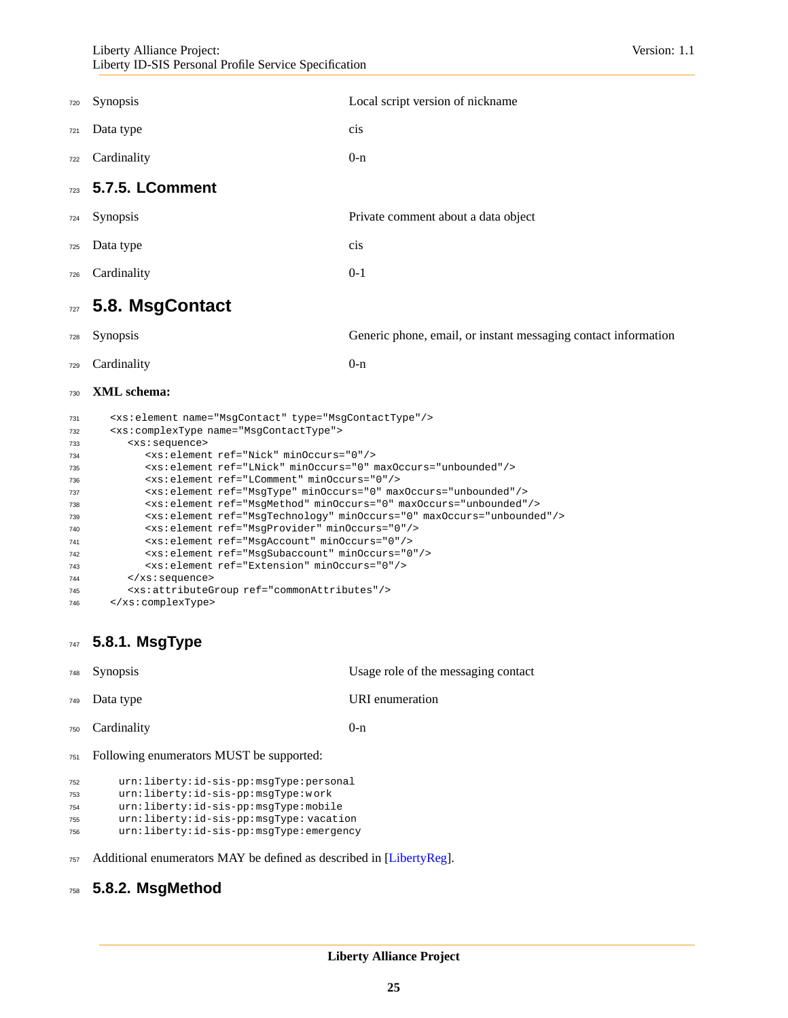| 720 | <b>Synopsis</b> | Local script version of nickname    |
|-----|-----------------|-------------------------------------|
| 721 | Data type       | cis                                 |
| 722 | Cardinality     | $0-n$                               |
| 723 | 5.7.5. LComment |                                     |
| 724 | Synopsis        | Private comment about a data object |
| 725 | Data type       | cis                                 |
| 726 | Cardinality     | $0-1$                               |
| 727 | 5.8. MsgContact |                                     |

# <span id="page-24-0"></span>Synopsis Generic phone, email, or instant messaging contact information

729 Cardinality 0-n

### **XML schema:**

| 731 | <xs:element name="MsgContact" type="MsgContactType"></xs:element>                 |
|-----|-----------------------------------------------------------------------------------|
| 732 | <xs:complextype name="MsqContactType"></xs:complextype>                           |
| 733 | <xs:sequence></xs:sequence>                                                       |
| 734 | <xs:element minoccurs="0" ref="Nick"></xs:element>                                |
| 735 | <xs:element maxoccurs="unbounded" minoccurs="0" ref="LNick"></xs:element>         |
| 736 | <xs:element minoccurs="0" ref="LComment"></xs:element>                            |
| 737 | <xs:element maxoccurs="unbounded" minoccurs="0" ref="MsqType"></xs:element>       |
| 738 | <xs:element maxoccurs="unbounded" minoccurs="0" ref="MsqMethod"></xs:element>     |
| 739 | <xs:element maxoccurs="unbounded" minoccurs="0" ref="MsqTechnology"></xs:element> |
| 740 | <xs: element="" minoccurs="0" ref="MsqProvider"></xs:>                            |
| 741 | <xs: element="" minoccurs="0" ref="MsqAccount"></xs:>                             |
| 742 | <xs: element="" minoccurs="0" ref="MsqSubaccount"></xs:>                          |
| 743 | <xs:element minoccurs="0" ref="Extension"></xs:element>                           |
| 744 | $\langle xs : \text{sequence} \rangle$                                            |
| 745 | <xs:attributegroup ref="commonAttributes"></xs:attributegroup>                    |
| 746 |                                                                                   |

## **5.8.1. MsgType**

|     | <sup>748</sup> Synopsis                  | Usage role of the messaging contact |
|-----|------------------------------------------|-------------------------------------|
|     | 749 Data type                            | URI enumeration                     |
|     | <sup>750</sup> Cardinality               | $()$ -n                             |
| 751 | Following enumerators MUST be supported: |                                     |

```
752 urn:liberty:id-sis-pp:msgType:personal
753 urn:liberty:id-sis-pp:msgType:w ork
754 urn:liberty:id-sis-pp:msgType:mobile
```

```
755 urn:liberty:id-sis-pp:msgType: vacation
```

```
756 urn:liberty:id-sis-pp:msgType:emergency
```
Additional enumerators MAY be defined as described in [\[LibertyReg\]](#page-34-11).

### **5.8.2. MsgMethod**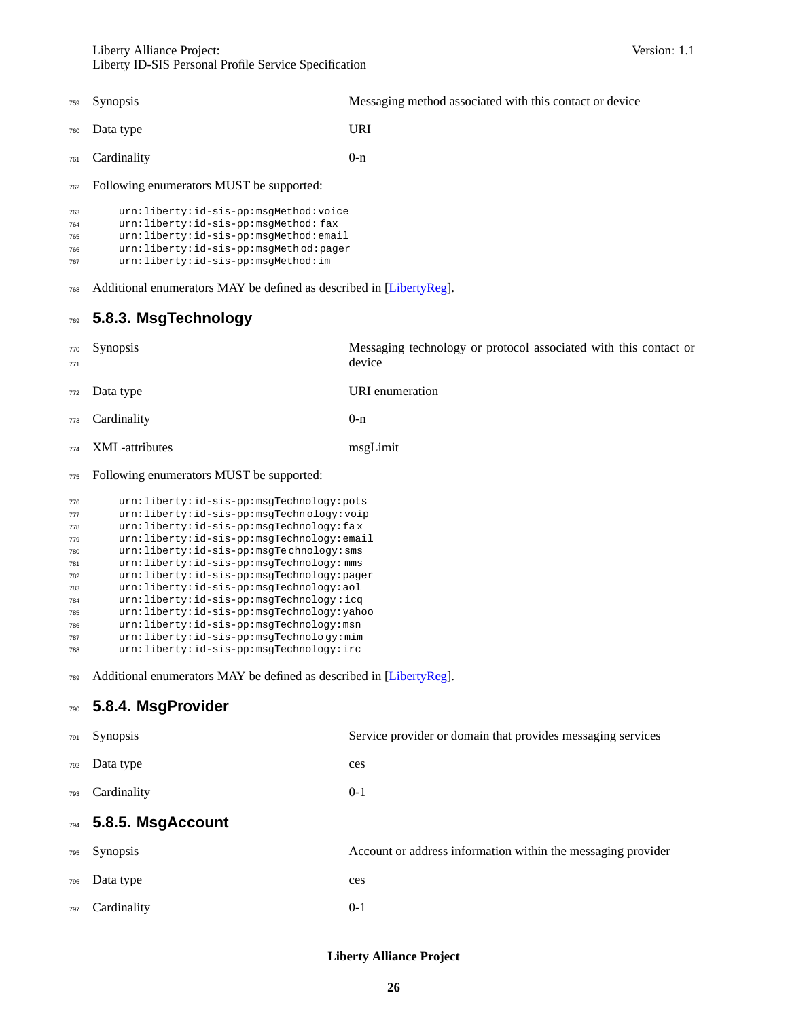- Synopsis Messaging method associated with this contact or device
- Data type URI
- 761 Cardinality 0-n

Following enumerators MUST be supported:

| 763 | urn:liberty:id-sis-pp:msqMethod:voice |
|-----|---------------------------------------|
| 764 | urn:liberty:id-sis-pp:msqMethod:fax   |
| 765 | urn:liberty:id-sis-pp:msqMethod:email |
| 766 | urn:liberty:id-sis-pp:msqMethod:pager |
| 767 | urn:liberty:id-sis-pp:msgMethod:im    |

Additional enumerators MAY be defined as described in [\[LibertyReg\]](#page-34-11).

### **5.8.3. MsgTechnology**

| 771 | 770 Synopsis       | Messaging technology or protocol associated with this contact or<br>device |
|-----|--------------------|----------------------------------------------------------------------------|
|     | 772 Data type      | URI enumeration                                                            |
|     | 773 Cardinality    | $0-n$                                                                      |
|     | 774 XML-attributes | msgLimit                                                                   |
|     |                    |                                                                            |

#### Following enumerators MUST be supported:

```
776 urn:liberty:id-sis-pp:msgTechnology:pots
777 urn:liberty:id-sis-pp:msgTechn ology:voip
778 urn:liberty:id-sis-pp:msgTechnology:fa x
779 urn:liberty:id-sis-pp:msgTechnology:email
780 urn:liberty:id-sis-pp:msgTe chnology:sms
781 urn:liberty:id-sis-pp:msgTechnology: mms
782 urn:liberty:id-sis-pp:msgTechnology:pager
783 urn:liberty:id-sis-pp:msgTechnology:aol
784 urn:liberty:id-sis-pp:msgTechnology :icq
785 urn:liberty:id-sis-pp:msgTechnology:yahoo
786 urn:liberty:id-sis-pp:msgTechnology:msn
787 urn:liberty:id-sis-pp:msgTechnolo gy:mim
788 urn:liberty:id-sis-pp:msgTechnology:irc
```
789 Additional enumerators MAY be defined as described in [\[LibertyReg\]](#page-34-11).

### **5.8.4. MsgProvider**

| 791 | <b>Synopsis</b>   | Service provider or domain that provides messaging services  |
|-----|-------------------|--------------------------------------------------------------|
| 792 | Data type         | ces                                                          |
| 793 | Cardinality       | $0 - 1$                                                      |
| 794 | 5.8.5. MsgAccount |                                                              |
| 795 | <b>Synopsis</b>   | Account or address information within the messaging provider |
| 796 | Data type         | ces                                                          |
| 797 | Cardinality       | $0 - 1$                                                      |
|     |                   |                                                              |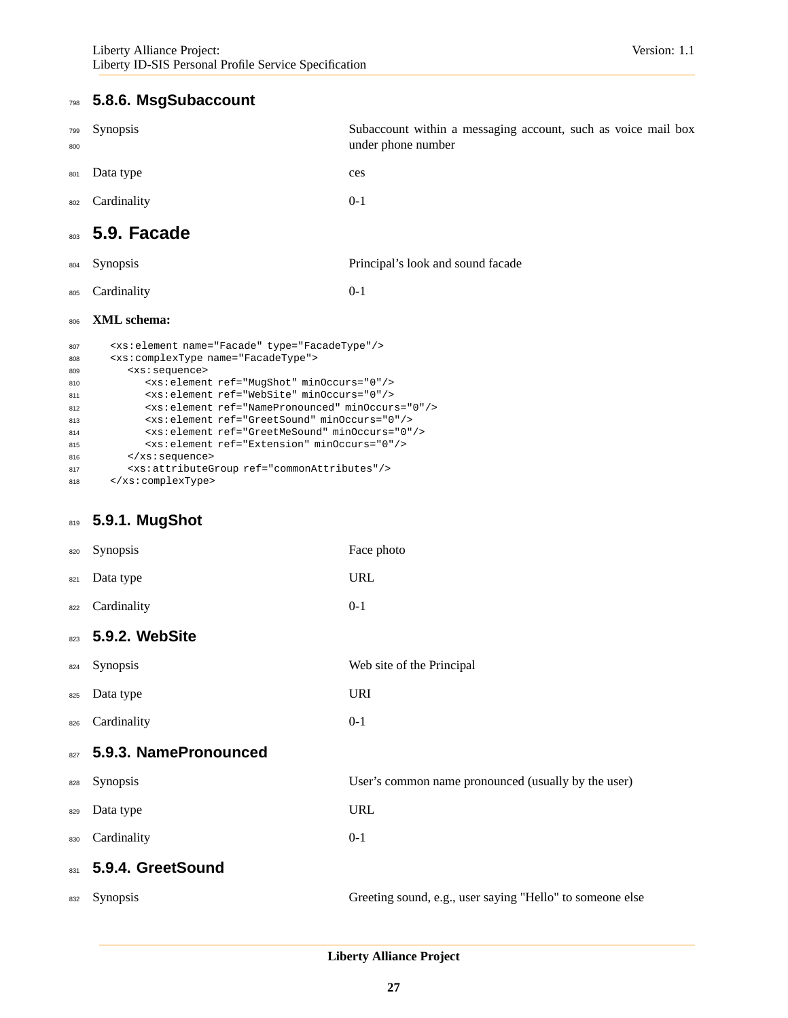## **5.8.6. MsgSubaccount**

<span id="page-26-0"></span>

| <b>Synopsis</b>                                                  | Subaccount within a messaging account, such as voice mail box<br>under phone number                                                       |
|------------------------------------------------------------------|-------------------------------------------------------------------------------------------------------------------------------------------|
| Data type                                                        | ces                                                                                                                                       |
| Cardinality                                                      | $0-1$                                                                                                                                     |
|                                                                  |                                                                                                                                           |
| <b>Synopsis</b>                                                  | Principal's look and sound facade                                                                                                         |
| Cardinality                                                      | $0-1$                                                                                                                                     |
| XML schema:<br>806                                               |                                                                                                                                           |
| <xs:element name="Facade" type="FacadeType"></xs:element><br>807 |                                                                                                                                           |
| <xs:complextype name="FacadeType"></xs:complextype>              |                                                                                                                                           |
| <xs:sequence></xs:sequence>                                      |                                                                                                                                           |
| <xs: element="" minoccurs="0" ref="MugShot"></xs:>               |                                                                                                                                           |
| <xs:element minoccurs="0" ref="WebSite"></xs:element>            |                                                                                                                                           |
| <xs:element minoccurs="0" ref="NamePronounced"></xs:element>     |                                                                                                                                           |
|                                                                  |                                                                                                                                           |
| <xs:element minoccurs="0" ref="Extension"></xs:element>          |                                                                                                                                           |
|                                                                  | 803 5.9. Facade<br><xs:element minoccurs="0" ref="GreetSound"></xs:element><br><xs:element minoccurs="0" ref="GreetMeSound"></xs:element> |

</xs:sequence>

```
817 <xs:attributeGroup ref="commonAttributes"/>
818 </xs:complexType>
```
## **5.9.1. MugShot**

| 820 | Synopsis              | Face photo                                                |
|-----|-----------------------|-----------------------------------------------------------|
| 821 | Data type             | <b>URL</b>                                                |
| 822 | Cardinality           | $0 - 1$                                                   |
| 823 | 5.9.2. WebSite        |                                                           |
| 824 | Synopsis              | Web site of the Principal                                 |
| 825 | Data type             | <b>URI</b>                                                |
| 826 | Cardinality           | $0 - 1$                                                   |
| 827 | 5.9.3. NamePronounced |                                                           |
| 828 | Synopsis              | User's common name pronounced (usually by the user)       |
| 829 | Data type             | <b>URL</b>                                                |
| 830 | Cardinality           | $0-1$                                                     |
| 831 | 5.9.4. GreetSound     |                                                           |
| 832 | Synopsis              | Greeting sound, e.g., user saying "Hello" to someone else |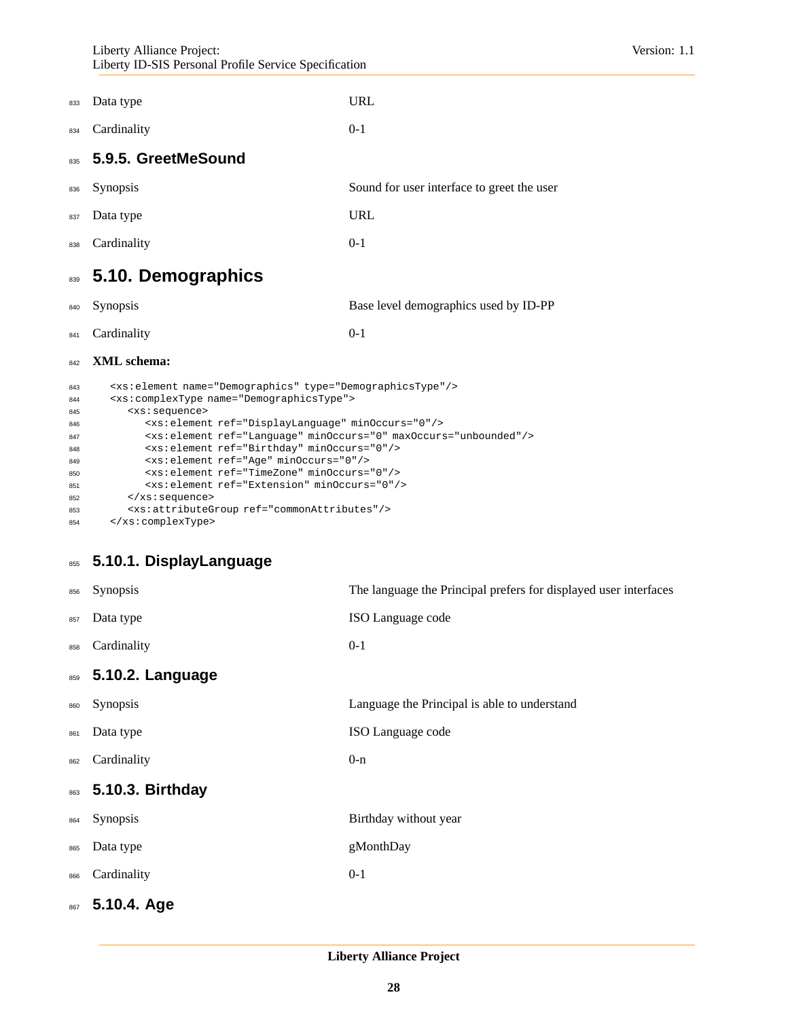Liberty Alliance Project: Version: 1.1 Liberty ID-SIS Personal Profile Service Specification

| 833 Data type   | <b>URL</b> |
|-----------------|------------|
| 834 Cardinality | $0-1$      |

### **5.9.5. GreetMeSound**

| 836 Synopsis  | Sound for user interface to greet the user |
|---------------|--------------------------------------------|
| 837 Data type | URL                                        |

<span id="page-27-0"></span>Cardinality 0-1

## **5.10. Demographics**

|     | 840 Synopsis                                                          | Base level demographics used by ID-PP |
|-----|-----------------------------------------------------------------------|---------------------------------------|
|     | 841 Cardinality                                                       | $() - 1$                              |
|     | 842 XML schema:                                                       |                                       |
| 843 | <xs:element name="Demographics" type="DemographicsType"></xs:element> |                                       |

| 844 | <xs:complextype name="DemographicsType"></xs:complextype>                    |
|-----|------------------------------------------------------------------------------|
| 845 | <xs:sequence></xs:sequence>                                                  |
| 846 | <xs:element minoccurs="0" ref="DisplayLanguage"></xs:element>                |
| 847 | <xs:element maxoccurs="unbounded" minoccurs="0" ref="Language"></xs:element> |
| 848 | <xs: element="" minoccurs="0" ref="Birthday"></xs:>                          |
| 849 | <xs: element="" minoccurs="0" ref="Age"></xs:>                               |
| 850 | <xs:element minoccurs="0" ref="TimeZone"></xs:element>                       |
| 851 | <xs:element minoccurs="0" ref="Extension"></xs:element>                      |
| 852 | $\langle xs : \text{sequence} \rangle$                                       |
| 853 | <xs: attributegroup="" ref="commonAttributes"></xs:>                         |
| 854 |                                                                              |

## **5.10.1. DisplayLanguage**

| 856 | Synopsis         | The language the Principal prefers for displayed user interfaces |
|-----|------------------|------------------------------------------------------------------|
| 857 | Data type        | ISO Language code                                                |
| 858 | Cardinality      | $0 - 1$                                                          |
| 859 | 5.10.2. Language |                                                                  |
| 860 | Synopsis         | Language the Principal is able to understand                     |
| 861 | Data type        | ISO Language code                                                |
| 862 | Cardinality      | $0 - n$                                                          |
| 863 | 5.10.3. Birthday |                                                                  |
| 864 | Synopsis         | Birthday without year                                            |
| 865 | Data type        | gMonthDay                                                        |
| 866 | Cardinality      | $0 - 1$                                                          |
| 867 | 5.10.4. Age      |                                                                  |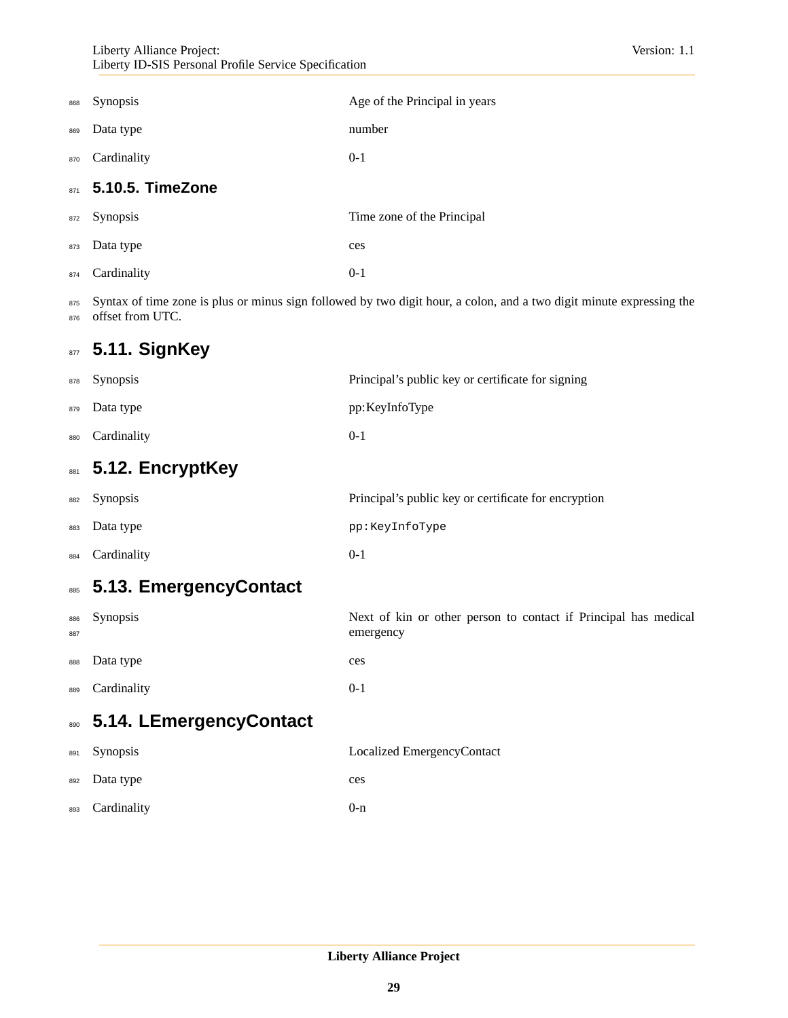| 868 | <b>Synopsis</b>  | Age of the Principal in years |
|-----|------------------|-------------------------------|
| 869 | Data type        | number                        |
| 870 | Cardinality      | $0 - 1$                       |
| 871 | 5.10.5. TimeZone |                               |
| 872 | Synopsis         | Time zone of the Principal    |
| 873 | Data type        | ces                           |
| 874 | Cardinality      | $0 - 1$                       |

875 Syntax of time zone is plus or minus sign followed by two digit hour, a colon, and a two digit minute expressing the 876 offset from UTC.

## <span id="page-28-0"></span>**5.11. SignKey**

<span id="page-28-3"></span><span id="page-28-2"></span><span id="page-28-1"></span>

| 878        | Synopsis                | Principal's public key or certificate for signing                            |
|------------|-------------------------|------------------------------------------------------------------------------|
| 879        | Data type               | pp: KeyInfoType                                                              |
| 880        | Cardinality             | $0-1$                                                                        |
| 881        | 5.12. EncryptKey        |                                                                              |
| 882        | Synopsis                | Principal's public key or certificate for encryption                         |
| 883        | Data type               | pp:KeyInfoType                                                               |
| 884        | Cardinality             | $0-1$                                                                        |
| 885        | 5.13. EmergencyContact  |                                                                              |
| 886<br>887 | Synopsis                | Next of kin or other person to contact if Principal has medical<br>emergency |
| 888        | Data type               | ces                                                                          |
| 889        | Cardinality             | $0 - 1$                                                                      |
| 890        | 5.14. LEmergencyContact |                                                                              |
| 891        | Synopsis                | Localized EmergencyContact                                                   |
| 892        | Data type               | ces                                                                          |
| 893        | Cardinality             | $0 - n$                                                                      |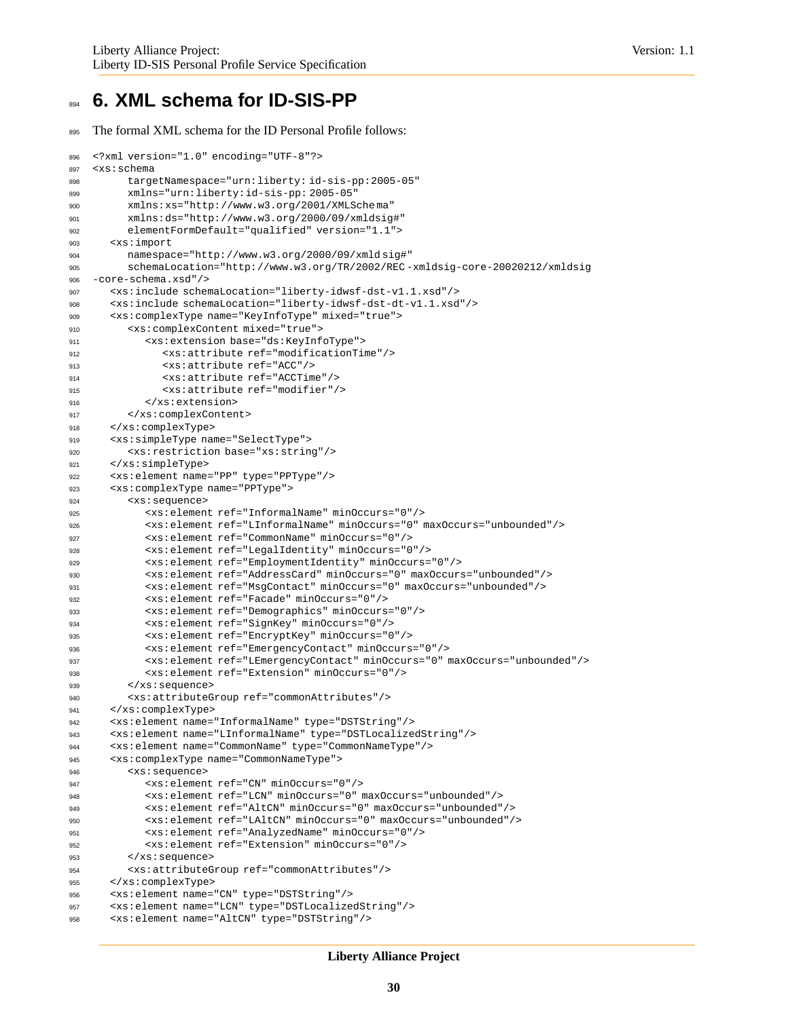## <span id="page-29-0"></span>**6. XML schema for ID-SIS-PP**

```
The formal XML schema for the ID Personal Profile follows:
```

```
896 <?xml version="1.0" encoding="UTF-8"?>
897 <xs:schema
898 targetNamespace="urn:liberty: id-sis-pp:2005-05"
899 xmlns="urn:liberty:id-sis-pp: 2005-05"
900 xmlns:xs="http://www.w3.org/2001/XMLSche ma"
901 xmlns:ds="http://www.w3.org/2000/09/xmldsig#"
902 elementFormDefault="qualified" version="1.1">
903 <xs:import
904 namespace="http://www.w3.org/2000/09/xmld sig#"
905 schemaLocation="http://www.w3.org/TR/2002/REC -xmldsig-core-20020212/xmldsig
906 -core-schema.xsd"/>
907 <xs:include schemaLocation="liberty-idwsf-dst-v1.1.xsd"/>
908 <xs:include schemaLocation="liberty-idwsf-dst-dt-v1.1.xsd"/>
909 <xs:complexType name="KeyInfoType" mixed="true">
910 <xs:complexContent mixed="true">
911 <xs:extension base="ds:KeyInfoType">
912 <xs:attribute ref="modificationTime"/>
913 <xs:attribute ref="ACC"/>
914 <xs:attribute ref="ACCTime"/>
915 <xs:attribute ref="modifier"/>
916 </xs:extension>
917 </xs:complexContent>
918 </xs:complexType>
919 <xs:simpleType name="SelectType">
920 <xs:restriction base="xs:string"/>
921 </xs:simpleType>
922 <xs:element name="PP" type="PPType"/>
923 <xs:complexType name="PPType">
924 <xs:sequence>
925 <xs:element ref="InformalName" minOccurs="0"/>
926 <xs:element ref="LInformalName" minOccurs="0" maxOccurs="unbounded"/>
927 <xs:element ref="CommonName" minOccurs="0"/>
928 <xs:element ref="LegalIdentity" minOccurs="0"/>
929 <xs:element ref="EmploymentIdentity" minOccurs="0"/>
930 <xs:element ref="AddressCard" minOccurs="0" maxOccurs="unbounded"/>
931 <xs:element ref="MsgContact" minOccurs="0" maxOccurs="unbounded"/>
932 <xs:element ref="Facade" minOccurs="0"/>
933 <xs:element ref="Demographics" minOccurs="0"/>
934 <xs:element ref="SignKey" minOccurs="0"/>
935 <xs:element ref="EncryptKey" minOccurs="0"/>
936 <xs:element ref="EmergencyContact" minOccurs="0"/>
937 <xs:element ref="LEmergencyContact" minOccurs="0" maxOccurs="unbounded"/>
938 <xs:element ref="Extension" minOccurs="0"/>
939 </xs:sequence>
940 <xs:attributeGroup ref="commonAttributes"/>
941 </xs:complexType>
942 <xs:element name="InformalName" type="DSTString"/>
943 <xs:element name="LInformalName" type="DSTLocalizedString"/>
944 <xs:element name="CommonName" type="CommonNameType"/>
945 <xs:complexType name="CommonNameType">
946 <xs:sequence>
947 <xs:element ref="CN" minOccurs="0"/>
948 <xs:element ref="LCN" minOccurs="0" maxOccurs="unbounded"/>
949 <xs:element ref="AltCN" minOccurs="0" maxOccurs="unbounded"/>
950 <xs:element ref="LAltCN" minOccurs="0" maxOccurs="unbounded"/>
951 <xs:element ref="AnalyzedName" minOccurs="0"/>
952 <xs:element ref="Extension" minOccurs="0"/>
953 </xs:sequence>
954 <xs:attributeGroup ref="commonAttributes"/>
955 </xs:complexType>
956 <xs:element name="CN" type="DSTString"/>
957 <xs:element name="LCN" type="DSTLocalizedString"/>
958 <xs:element name="AltCN" type="DSTString"/>
```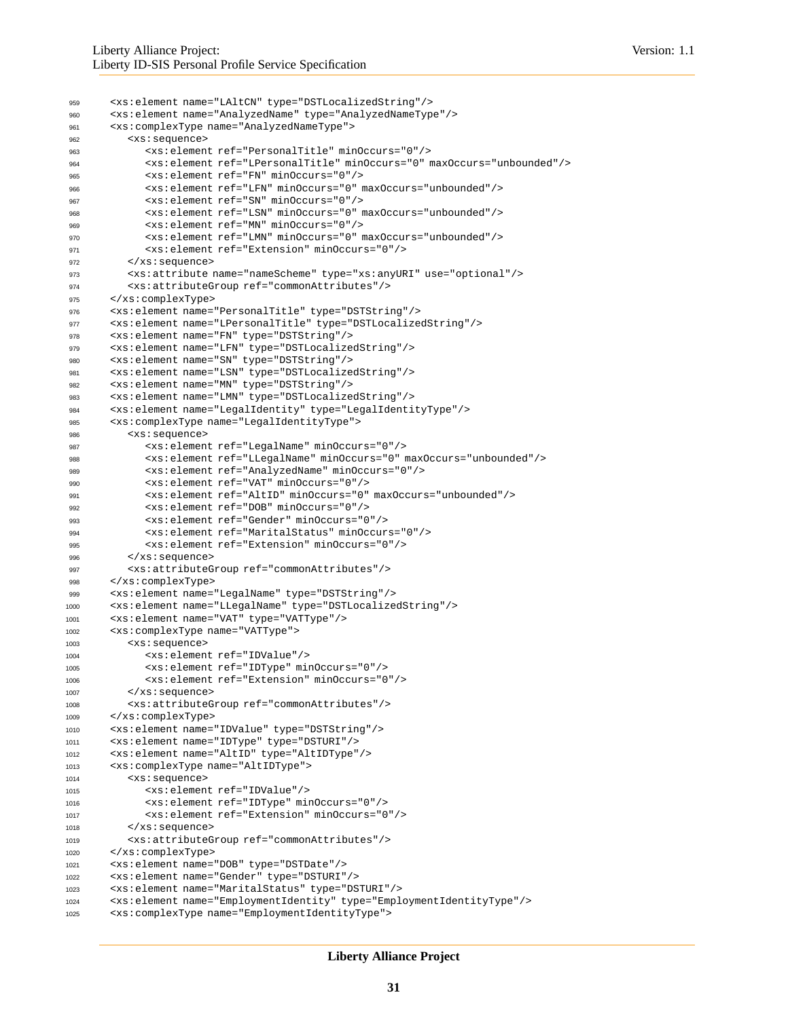```
959 <xs:element name="LAltCN" type="DSTLocalizedString"/>
960 <xs:element name="AnalyzedName" type="AnalyzedNameType"/>
961 <xs:complexType name="AnalyzedNameType">
962 <xs:sequence>
963 <xs:element ref="PersonalTitle" minOccurs="0"/>
964 <xs:element ref="LPersonalTitle" minOccurs="0" maxOccurs="unbounded"/>
965 <xs:element ref="FN" minOccurs="0"/>
966 <xs:element ref="LFN" minOccurs="0" maxOccurs="unbounded"/>
967 <xs:element ref="SN" minOccurs="0"/>
968 <xs:element ref="LSN" minOccurs="0" maxOccurs="unbounded"/>
969 <xs:element ref="MN" minOccurs="0"/>
970 <xs:element ref="LMN" minOccurs="0" maxOccurs="unbounded"/>
971 <xs:element ref="Extension" minOccurs="0"/>
972 </xs:sequence>
973 <xs:attribute name="nameScheme" type="xs:anyURI" use="optional"/>
974 <xs:attributeGroup ref="commonAttributes"/>
975 </xs:complexType>
976 <xs:element name="PersonalTitle" type="DSTString"/>
977 <xs:element name="LPersonalTitle" type="DSTLocalizedString"/>
978 <xs:element name="FN" type="DSTString"/>
979 <xs:element name="LFN" type="DSTLocalizedString"/>
980 <xs:element name="SN" type="DSTString"/>
981 <xs:element name="LSN" type="DSTLocalizedString"/>
982 <xs:element name="MN" type="DSTString"/>
983 <xs:element name="LMN" type="DSTLocalizedString"/>
984 <xs:element name="LegalIdentity" type="LegalIdentityType"/>
985 <xs:complexType name="LegalIdentityType">
986 <xs:sequence>
987 <xs:element ref="LegalName" minOccurs="0"/>
988 <xs:element ref="LLegalName" minOccurs="0" maxOccurs="unbounded"/>
989 <xs:element ref="AnalyzedName" minOccurs="0"/>
990 <xs:element ref="VAT" minOccurs="0"/>
991 <xs:element ref="AltID" minOccurs="0" maxOccurs="unbounded"/>
992 <xs:element ref="DOB" minOccurs="0"/>
993 <xs:element ref="Gender" minOccurs="0"/>
994 <xs:element ref="MaritalStatus" minOccurs="0"/>
995 <xs:element ref="Extension" minOccurs="0"/>
996 </xs:sequence>
997 <xs:attributeGroup ref="commonAttributes"/>
998 </xs:complexType>
999 <xs:element name="LegalName" type="DSTString"/>
1000 <xs:element name="LLegalName" type="DSTLocalizedString"/>
1001 <xs:element name="VAT" type="VATType"/>
1002 <xs:complexType name="VATType">
1003 <xs:sequence>
1004 <xs:element ref="IDValue"/>
1005 <xs:element ref="IDType" minOccurs="0"/>
1006 <xs:element ref="Extension" minOccurs="0"/>
1007 </xs:sequence>
1008 <xs:attributeGroup ref="commonAttributes"/>
1009 </xs:complexType>
1010 <xs:element name="IDValue" type="DSTString"/>
1011 <xs:element name="IDType" type="DSTURI"/>
1012 <xs:element name="AltID" type="AltIDType"/>
1013 <xs:complexType name="AltIDType">
1014 <xs:sequence>
1015 <xs:element ref="IDValue"/>
1016 <xs:element ref="IDType" minOccurs="0"/>
1017 <xs:element ref="Extension" minOccurs="0"/>
1018 </xs:sequence>
1019 <xs:attributeGroup ref="commonAttributes"/>
1020 </xs:complexType>
1021 <xs:element name="DOB" type="DSTDate"/>
1022 <xs:element name="Gender" type="DSTURI"/>
1023 <xs:element name="MaritalStatus" type="DSTURI"/>
1024 <xs:element name="EmploymentIdentity" type="EmploymentIdentityType"/>
1025 <xs:complexType name="EmploymentIdentityType">
```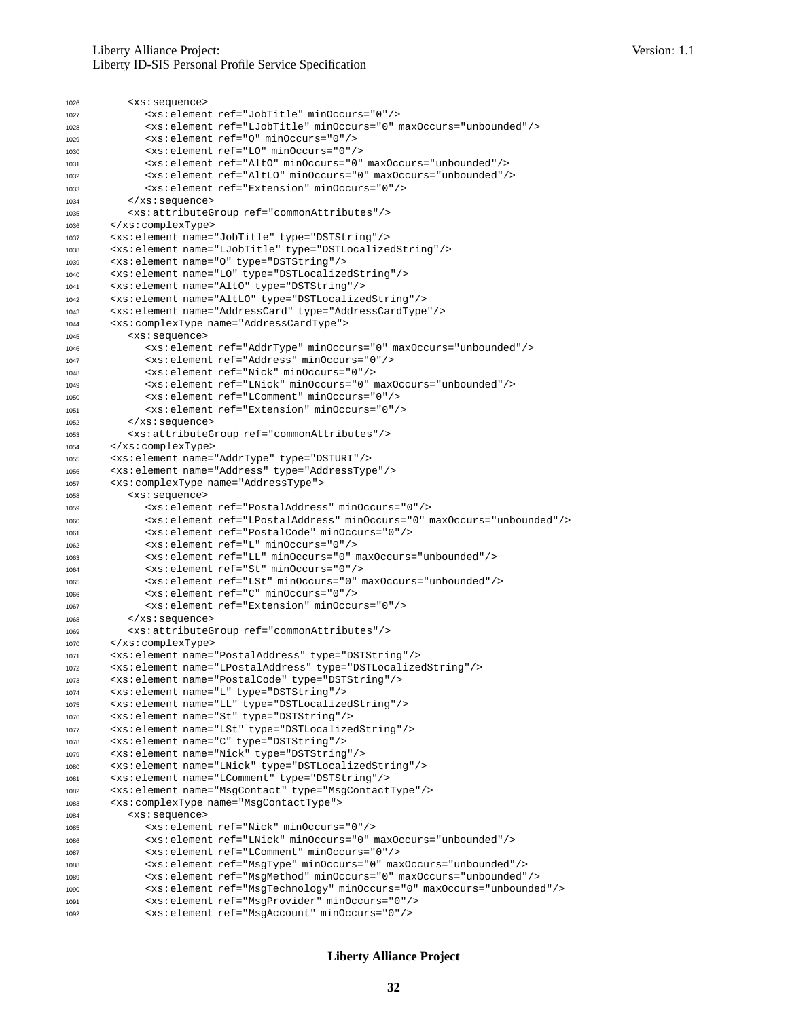```
1026 <xs:sequence>
1027 <xs:element ref="JobTitle" minOccurs="0"/>
1028 <xs:element ref="LJobTitle" minOccurs="0" maxOccurs="unbounded"/>
1029 <xs:element ref="O" minOccurs="0"/>
1030 <xs:element ref="LO" minOccurs="0"/>
1031 <xs:element ref="AltO" minOccurs="0" maxOccurs="unbounded"/>
1032 <xs:element ref="AltLO" minOccurs="0" maxOccurs="unbounded"/>
1033 <xs:element ref="Extension" minOccurs="0"/>
1034 </xs:sequence>
1035 <xs:attributeGroup ref="commonAttributes"/>
1036 </xs:complexType>
1037 <xs:element name="JobTitle" type="DSTString"/>
1038 <xs:element name="LJobTitle" type="DSTLocalizedString"/>
1039 <xs:element name="O" type="DSTString"/>
1040 <xs:element name="LO" type="DSTLocalizedString"/>
1041 <xs:element name="AltO" type="DSTString"/>
1042 <xs:element name="AltLO" type="DSTLocalizedString"/>
1043 <xs:element name="AddressCard" type="AddressCardType"/>
1044 <xs:complexType name="AddressCardType">
1045 <xs:sequence>
1046 <xs:element ref="AddrType" minOccurs="0" maxOccurs="unbounded"/>
1047 <xs:element ref="Address" minOccurs="0"/>
1048 <xs:element ref="Nick" minOccurs="0"/>
1049 <xs:element ref="LNick" minOccurs="0" maxOccurs="unbounded"/>
1050 <xs:element ref="LComment" minOccurs="0"/>
1051 <xs:element ref="Extension" minOccurs="0"/>
1052 </xs:sequence>
1053 <xs:attributeGroup ref="commonAttributes"/>
1054 </xs:complexType>
1055 <xs:element name="AddrType" type="DSTURI"/>
1056 <xs:element name="Address" type="AddressType"/>
1057 <xs:complexType name="AddressType">
1058 <xs:sequence>
1059 <xs:element ref="PostalAddress" minOccurs="0"/>
1060 <xs:element ref="LPostalAddress" minOccurs="0" maxOccurs="unbounded"/>
1061 <xs:element ref="PostalCode" minOccurs="0"/>
1062 <xs:element ref="L" minOccurs="0"/>
1063 <xs:element ref="LL" minOccurs="0" maxOccurs="unbounded"/>
1064 <xs:element ref="St" minOccurs="0"/>
1065 <xs:element ref="LSt" minOccurs="0" maxOccurs="unbounded"/>
1066 <xs:element ref="C" minOccurs="0"/>
1067 <xs:element ref="Extension" minOccurs="0"/>
1068 </xs:sequence>
1069 <xs:attributeGroup ref="commonAttributes"/>
1070 </xs:complexType>
1071 <xs:element name="PostalAddress" type="DSTString"/>
1072 <xs:element name="LPostalAddress" type="DSTLocalizedString"/>
1073 <xs:element name="PostalCode" type="DSTString"/>
1074 <xs:element name="L" type="DSTString"/>
1075 <xs:element name="LL" type="DSTLocalizedString"/>
1076 <xs:element name="St" type="DSTString"/>
1077 <xs:element name="LSt" type="DSTLocalizedString"/>
1078 <xs:element name="C" type="DSTString"/>
1079 <xs:element name="Nick" type="DSTString"/>
1080 <xs:element name="LNick" type="DSTLocalizedString"/>
1081 <xs:element name="LComment" type="DSTString"/>
1082 <xs:element name="MsgContact" type="MsgContactType"/>
1083 <xs:complexType name="MsgContactType">
1084 <xs:sequence>
1085 <xs:element ref="Nick" minOccurs="0"/>
1086 <xs:element ref="LNick" minOccurs="0" maxOccurs="unbounded"/>
1087 <xs:element ref="LComment" minOccurs="0"/>
1088 <xs:element ref="MsgType" minOccurs="0" maxOccurs="unbounded"/>
1089 <xs:element ref="MsgMethod" minOccurs="0" maxOccurs="unbounded"/>
1090 <xs:element ref="MsgTechnology" minOccurs="0" maxOccurs="unbounded"/>
1091 <xs:element ref="MsgProvider" minOccurs="0"/>
1092 <xs:element ref="MsgAccount" minOccurs="0"/>
```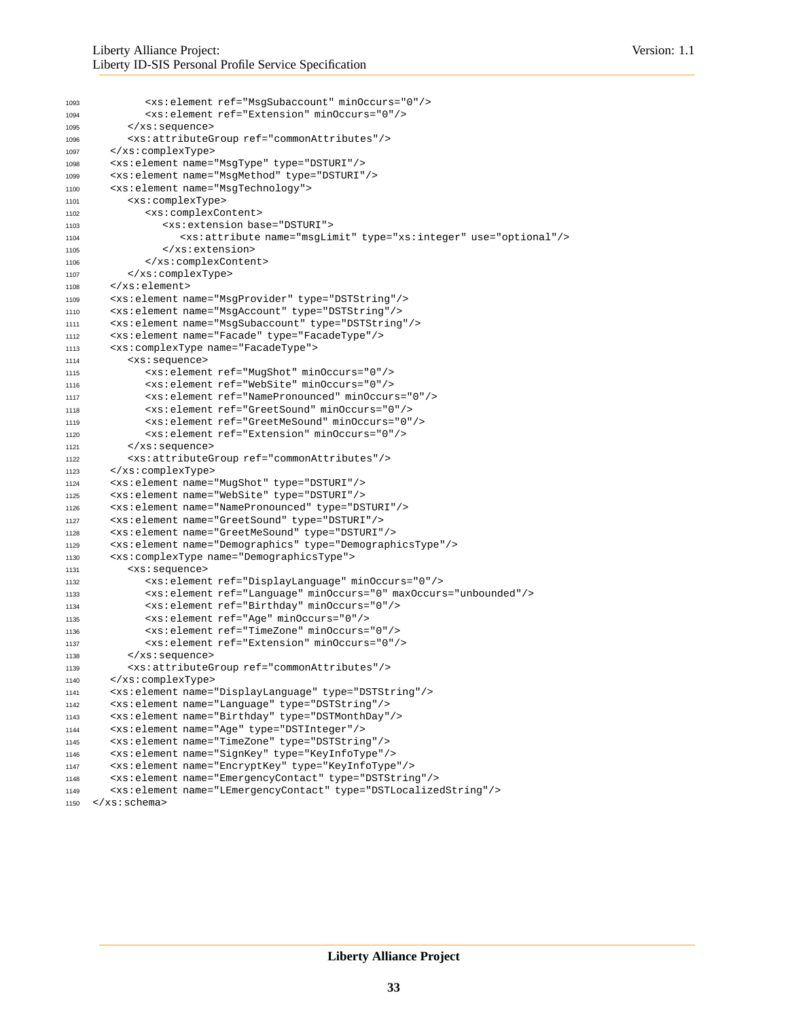```
1093 <xs:element ref="MsgSubaccount" minOccurs="0"/>
1094 <xs:element ref="Extension" minOccurs="0"/>
1095 </xs:sequence>
1096 <xs:attributeGroup ref="commonAttributes"/>
1097 </xs:complexType>
1098 <xs:element name="MsgType" type="DSTURI"/>
1099 <xs:element name="MsgMethod" type="DSTURI"/>
1100 <xs:element name="MsgTechnology">
1101 <xs:complexType>
1102 <xs:complexContent>
1103 <xs:extension base="DSTURI">
1104 <xs:attribute name="msgLimit" type="xs:integer" use="optional"/>
1105 </xs:extension>
1106 </xs:complexContent>
1107 </xs:complexType>
1108 </xs:element>
1109 <xs:element name="MsgProvider" type="DSTString"/>
1110 <xs:element name="MsgAccount" type="DSTString"/>
1111 <xs:element name="MsgSubaccount" type="DSTString"/>
1112 <xs:element name="Facade" type="FacadeType"/>
1113 <xs:complexType name="FacadeType">
1114 <xs:sequence>
1115 <xs:element ref="MugShot" minOccurs="0"/>
1116 <xs:element ref="WebSite" minOccurs="0"/>
1117 <xs:element ref="NamePronounced" minOccurs="0"/>
1118 <xs:element ref="GreetSound" minOccurs="0"/>
1119 <xs:element ref="GreetMeSound" minOccurs="0"/>
1120 <xs:element ref="Extension" minOccurs="0"/>
1121 </xs:sequence>
1122 <xs:attributeGroup ref="commonAttributes"/>
1123 </xs:complexType>
1124 <xs:element name="MugShot" type="DSTURI"/>
1125 <xs:element name="WebSite" type="DSTURI"/>
1126 <xs:element name="NamePronounced" type="DSTURI"/>
1127 <xs:element name="GreetSound" type="DSTURI"/>
1128 <xs:element name="GreetMeSound" type="DSTURI"/>
1129 <xs:element name="Demographics" type="DemographicsType"/>
1130 <xs:complexType name="DemographicsType">
1131 <xs:sequence>
1132 <xs:element ref="DisplayLanguage" minOccurs="0"/>
1133 <xs:element ref="Language" minOccurs="0" maxOccurs="unbounded"/>
1134 <xs:element ref="Birthday" minOccurs="0"/>
1135 <xs:element ref="Age" minOccurs="0"/>
1136 <xs:element ref="TimeZone" minOccurs="0"/>
1137 <xs:element ref="Extension" minOccurs="0"/>
1138 </xs:sequence>
1139 <xs:attributeGroup ref="commonAttributes"/>
1140 </xs:complexType>
1141 <xs:element name="DisplayLanguage" type="DSTString"/>
1142 <xs:element name="Language" type="DSTString"/>
1143 <xs:element name="Birthday" type="DSTMonthDay"/>
1144 <xs:element name="Age" type="DSTInteger"/>
1145 <xs:element name="TimeZone" type="DSTString"/>
1146 <xs:element name="SignKey" type="KeyInfoType"/>
1147 <xs:element name="EncryptKey" type="KeyInfoType"/>
1148 <xs:element name="EmergencyContact" type="DSTString"/>
1149 <xs:element name="LEmergencyContact" type="DSTLocalizedString"/>
1150 \leq x s : \text{schema}
```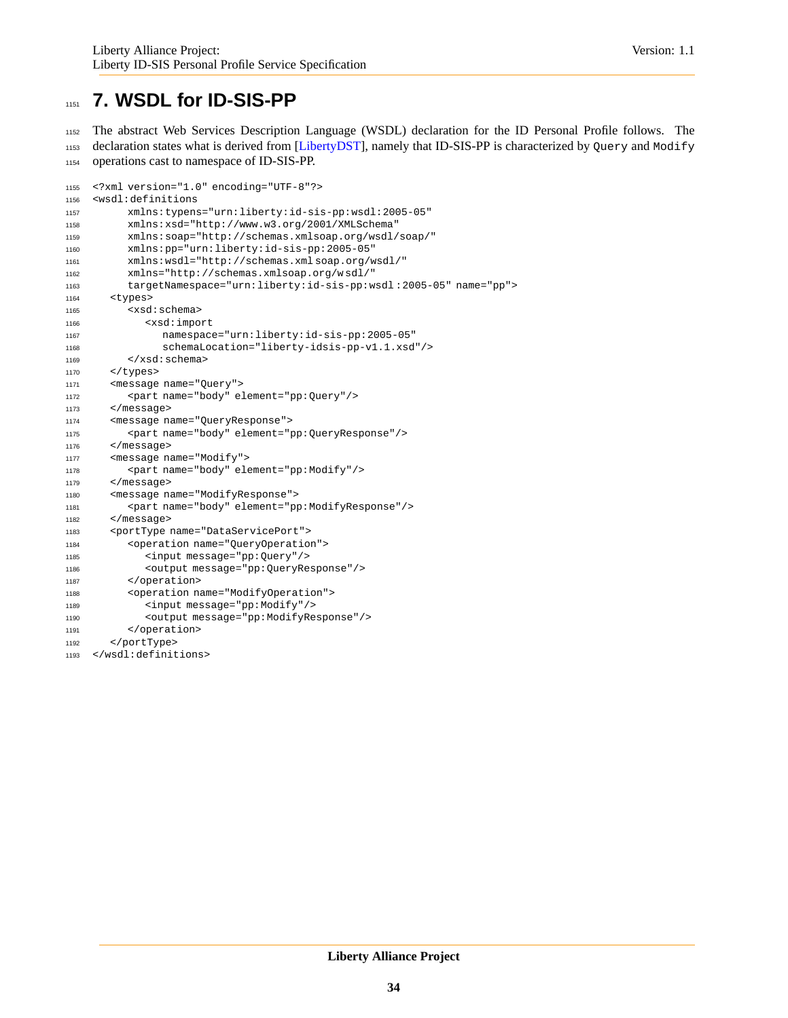## <span id="page-33-0"></span>**7. WSDL for ID-SIS-PP**

 The abstract Web Services Description Language (WSDL) declaration for the ID Personal Profile follows. The 1153 declaration states what is derived from [\[LibertyDST\]](#page-34-2), namely that ID-SIS-PP is characterized by Query and Modify operations cast to namespace of ID-SIS-PP.

```
1155 <?xml version="1.0" encoding="UTF-8"?>
1156 <wsdl:definitions
1157 xmlns:typens="urn:liberty:id-sis-pp:wsdl:2005-05"
1158 xmlns:xsd="http://www.w3.org/2001/XMLSchema"
1159 xmlns:soap="http://schemas.xmlsoap.org/wsdl/soap/"
1160 xmlns:pp="urn:liberty:id-sis-pp:2005-05"
1161 xmlns:wsdl="http://schemas.xml soap.org/wsdl/"
1162 xmlns="http://schemas.xmlsoap.org/w sdl/"
1163 targetNamespace="urn:liberty:id-sis-pp:wsdl :2005-05" name="pp">
1164 <types>
1165 <xsd:schema>
1166 <xsd:import
1167 namespace="urn:liberty:id-sis-pp:2005-05"
1168 schemaLocation="liberty-idsis-pp-v1.1.xsd"/>
1169 </xsd:schema>
1170 </types>
1171 <message name="Query">
1172 <part name="body" element="pp:Query"/>
1173 </message>
1174 <message name="QueryResponse">
1175 <part name="body" element="pp:QueryResponse"/>
1176 </message>
1177 <message name="Modify">
1178 <part name="body" element="pp:Modify"/>
1179 </message>
1180 <message name="ModifyResponse">
1181 <part name="body" element="pp:ModifyResponse"/>
1182 </message>
1183 <portType name="DataServicePort">
1184 <operation name="QueryOperation">
1185 <input message="pp:Query"/>
1186 <output message="pp:QueryResponse"/>
1187 </operation>
1188 <operation name="ModifyOperation">
1189 <input message="pp:Modify"/>
1190 <output message="pp:ModifyResponse"/>
1191 </operation>
1192 </portType>
1193 </wsdl:definitions>
```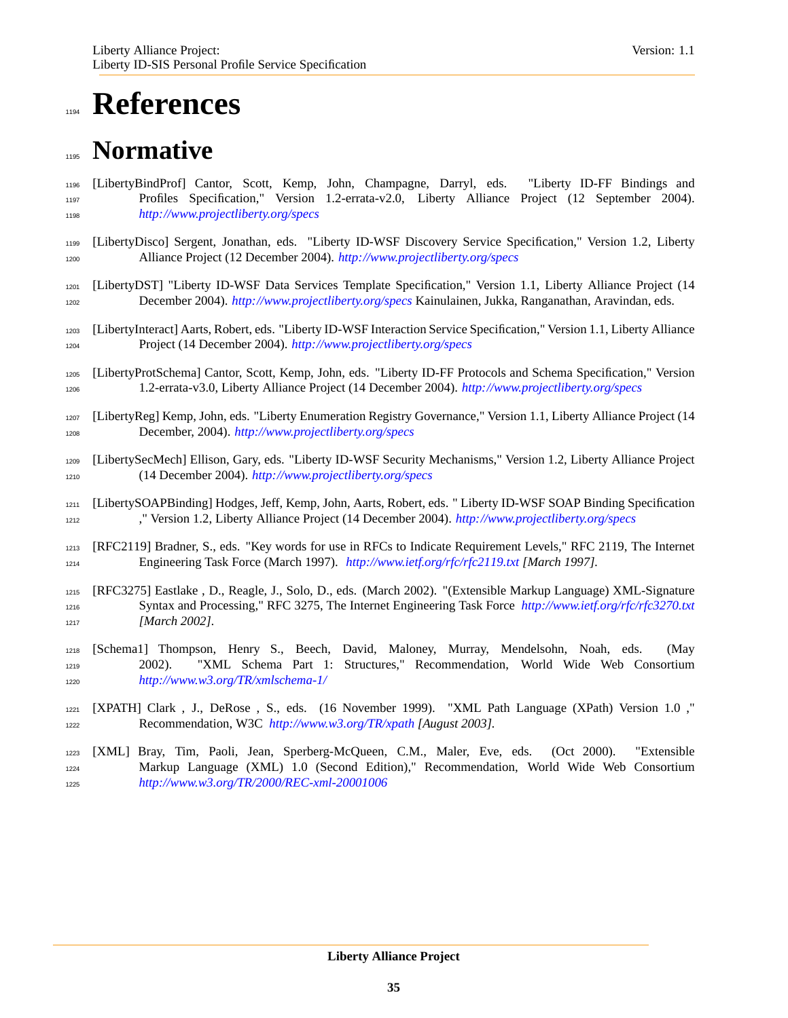# <span id="page-34-0"></span>**References**

# **Normative**

- <span id="page-34-4"></span> [LibertyBindProf] Cantor, Scott, Kemp, John, Champagne, Darryl, eds. "Liberty ID-FF Bindings and Profiles Specification," Version 1.2-errata-v2.0, Liberty Alliance Project (12 September 2004). *<http://www.projectliberty.org/specs>*
- <span id="page-34-7"></span> [LibertyDisco] Sergent, Jonathan, eds. "Liberty ID-WSF Discovery Service Specification," Version 1.2, Liberty Alliance Project (12 December 2004). *<http://www.projectliberty.org/specs>*
- <span id="page-34-2"></span> [LibertyDST] "Liberty ID-WSF Data Services Template Specification," Version 1.1, Liberty Alliance Project (14 December 2004). *<http://www.projectliberty.org/specs>* Kainulainen, Jukka, Ranganathan, Aravindan, eds.
- <span id="page-34-6"></span> [LibertyInteract] Aarts, Robert, eds. "Liberty ID-WSF Interaction Service Specification," Version 1.1, Liberty Alliance Project (14 December 2004). *<http://www.projectliberty.org/specs>*
- <span id="page-34-3"></span> [LibertyProtSchema] Cantor, Scott, Kemp, John, eds. "Liberty ID-FF Protocols and Schema Specification," Version 1.2-errata-v3.0, Liberty Alliance Project (14 December 2004). *<http://www.projectliberty.org/specs>*
- <span id="page-34-11"></span> [LibertyReg] Kemp, John, eds. "Liberty Enumeration Registry Governance," Version 1.1, Liberty Alliance Project (14 December, 2004). *<http://www.projectliberty.org/specs>*
- [LibertySecMech] Ellison, Gary, eds. "Liberty ID-WSF Security Mechanisms," Version 1.2, Liberty Alliance Project (14 December 2004). *<http://www.projectliberty.org/specs>*
- <span id="page-34-5"></span> [LibertySOAPBinding] Hodges, Jeff, Kemp, John, Aarts, Robert, eds. " Liberty ID-WSF SOAP Binding Specification ," Version 1.2, Liberty Alliance Project (14 December 2004). *<http://www.projectliberty.org/specs>*
- <span id="page-34-1"></span> [RFC2119] Bradner, S., eds. "Key words for use in RFCs to Indicate Requirement Levels," RFC 2119, The Internet Engineering Task Force (March 1997). *<http://www.ietf.org/rfc/rfc2119.txt> [March 1997].*
- <span id="page-34-8"></span> [RFC3275] Eastlake , D., Reagle, J., Solo, D., eds. (March 2002). "(Extensible Markup Language) XML-Signature Syntax and Processing," RFC 3275, The Internet Engineering Task Force *<http://www.ietf.org/rfc/rfc3270.txt> [March 2002].*
- <span id="page-34-10"></span> [Schema1] Thompson, Henry S., Beech, David, Maloney, Murray, Mendelsohn, Noah, eds. (May 2002). "XML Schema Part 1: Structures," Recommendation, World Wide Web Consortium *<http://www.w3.org/TR/xmlschema-1/>*
- <span id="page-34-12"></span> [XPATH] Clark , J., DeRose , S., eds. (16 November 1999). "XML Path Language (XPath) Version 1.0 ," Recommendation, W3C *<http://www.w3.org/TR/xpath> [August 2003].*
- <span id="page-34-9"></span> [XML] Bray, Tim, Paoli, Jean, Sperberg-McQueen, C.M., Maler, Eve, eds. (Oct 2000). "Extensible Markup Language (XML) 1.0 (Second Edition)," Recommendation, World Wide Web Consortium *<http://www.w3.org/TR/2000/REC-xml-20001006>*